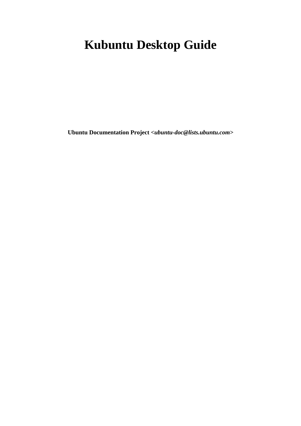# **Kubuntu Desktop Guide**

**Ubuntu Documentation Project** *<ubuntu-doc@lists.ubuntu.com>*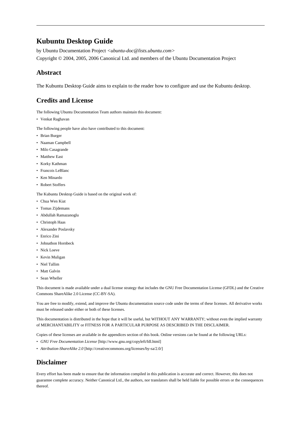#### **Kubuntu Desktop Guide**

by Ubuntu Documentation Project *<ubuntu-doc@lists.ubuntu.com>* Copyright © 2004, 2005, 2006 Canonical Ltd. and members of the Ubuntu Documentation Project

#### **Abstract**

The Kubuntu Desktop Guide aims to explain to the reader how to configure and use the Kubuntu desktop.

#### **Credits and License**

The following Ubuntu Documentation Team authors maintain this document:

• Venkat Raghavan

The following people have also have contributed to this document:

- Brian Burger
- Naaman Campbell
- Milo Casagrande
- Matthew East
- Korky Kathman
- Francois LeBlanc
- Ken Minardo
- Robert Stoffers

The Kubuntu Desktop Guide is based on the original work of:

- Chua Wen Kiat
- Tomas Zijdemans
- Abdullah Ramazanoglu
- Christoph Haas
- Alexander Poslavsky
- Enrico Zini
- Johnathon Hornbeck
- Nick Loeve
- Kevin Muligan
- Niel Tallim
- Matt Galvin
- Sean Wheller

This document is made available under a dual license strategy that includes the GNU Free Documentation License (GFDL) and the Creative Commons ShareAlike 2.0 License (CC-BY-SA).

You are free to modify, extend, and improve the Ubuntu documentation source code under the terms of these licenses. All derivative works must be released under either or both of these licenses.

This documentation is distributed in the hope that it will be useful, but WITHOUT ANY WARRANTY; without even the implied warranty of MERCHANTABILITY or FITNESS FOR A PARTICULAR PURPOSE AS DESCRIBED IN THE DISCLAIMER.

Copies of these licenses are available in the appendices section of this book. Online versions can be found at the following URLs:

- *[GNU Free Documentation License](http://www.gnu.org/copyleft/fdl.html)* [\[http://www.gnu.org/copyleft/fdl.html\]](http://www.gnu.org/copyleft/fdl.html)
- *[Attribution-ShareAlike 2.0](http://creativecommons.org/licenses/by-sa/2.0/)* [<http://creativecommons.org/licenses/by-sa/2.0/>]

#### **Disclaimer**

Every effort has been made to ensure that the information compiled in this publication is accurate and correct. However, this does not guarantee complete accuracy. Neither Canonical Ltd., the authors, nor translators shall be held liable for possible errors or the consequences thereof.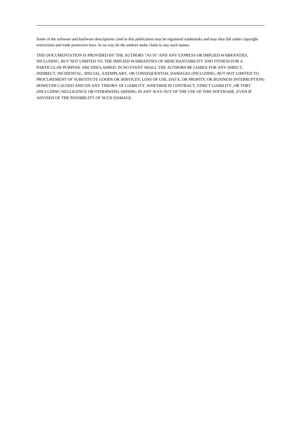Some of the software and hardware descriptions cited in this publication may be registered trademarks and may thus fall under copyright restrictions and trade protection laws. In no way do the authors make claim to any such names.

THIS DOCUMENTATION IS PROVIDED BY THE AUTHORS "AS IS" AND ANY EXPRESS OR IMPLIED WARRANTIES, INCLUDING, BUT NOT LIMITED TO, THE IMPLIED WARRANTIES OF MERCHANTABILITY AND FITNESS FOR A PARTICULAR PURPOSE ARE DISCLAIMED. IN NO EVENT SHALL THE AUTHORS BE LIABLE FOR ANY DIRECT, INDIRECT, INCIDENTAL, SPECIAL, EXEMPLARY, OR CONSEQUENTIAL DAMAGES (INCLUDING, BUT NOT LIMITED TO, PROCUREMENT OF SUBSTITUTE GOODS OR SERVICES; LOSS OF USE, DATA, OR PROFITS; OR BUSINESS INTERRUPTION) HOWEVER CAUSED AND ON ANY THEORY OF LIABILITY, WHETHER IN CONTRACT, STRICT LIABILITY, OR TORT (INCLUDING NEGLIGENCE OR OTHERWISE) ARISING IN ANY WAY OUT OF THE USE OF THIS SOFTWARE, EVEN IF ADVISED OF THE POSSIBILITY OF SUCH DAMAGE.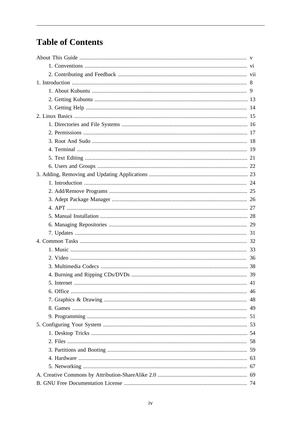## **Table of Contents**

| 46 |
|----|
|    |
|    |
|    |
|    |
|    |
|    |
|    |
|    |
|    |
|    |
|    |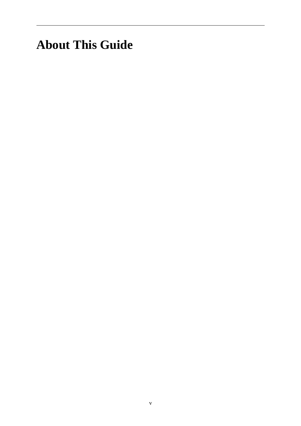## <span id="page-4-0"></span>**About This Guide**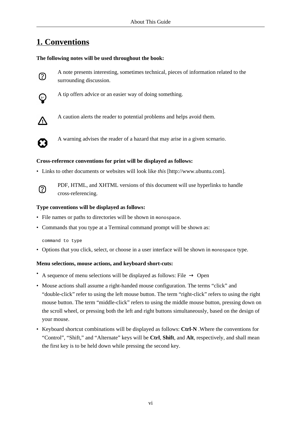## <span id="page-5-0"></span>**1. Conventions**

#### **The following notes will be used throughout the book:**



A note presents interesting, sometimes technical, pieces of information related to the surrounding discussion.



A tip offers advice or an easier way of doing something.



A caution alerts the reader to potential problems and helps avoid them.



A warning advises the reader of a hazard that may arise in a given scenario.

#### **Cross-reference conventions for print will be displayed as follows:**

• Links to other documents or websites will look like *[this](http://www.ubuntu.com)* [\[http://www.ubuntu.com](http://www.ubuntu.com)].



PDF, HTML, and XHTML versions of this document will use hyperlinks to handle cross-referencing.

#### **Type conventions will be displayed as follows:**

- File names or paths to directories will be shown in monospace.
- Commands that you type at a Terminal command prompt will be shown as:

command to type

• Options that you click, select, or choose in a user interface will be shown in monospace type.

#### **Menu selections, mouse actions, and keyboard short-cuts:**

- A sequence of menu selections will be displayed as follows: File  $\rightarrow$  Open
- Mouse actions shall assume a right-handed mouse configuration. The terms "click" and "double-click" refer to using the left mouse button. The term "right-click" refers to using the right mouse button. The term "middle-click" refers to using the middle mouse button, pressing down on the scroll wheel, or pressing both the left and right buttons simultaneously, based on the design of your mouse.
- Keyboard shortcut combinations will be displayed as follows: **Ctrl**-**N** .Where the conventions for "Control", "Shift," and "Alternate" keys will be **Ctrl**, **Shift**, and **Alt**, respectively, and shall mean the first key is to be held down while pressing the second key.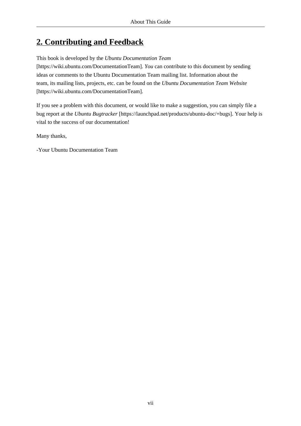## <span id="page-6-0"></span>**2. Contributing and Feedback**

#### This book is developed by the *[Ubuntu Documentation Team](https://wiki.ubuntu.com/DocumentationTeam)*

[[https://wiki.ubuntu.com/DocumentationTeam\]](https://wiki.ubuntu.com/DocumentationTeam). *You* can contribute to this document by sending ideas or comments to the Ubuntu Documentation Team mailing list. Information about the team, its mailing lists, projects, etc. can be found on the *[Ubuntu Documentation Team Website](https://wiki.ubuntu.com/DocumentationTeam)* [[https://wiki.ubuntu.com/DocumentationTeam\]](https://wiki.ubuntu.com/DocumentationTeam).

If you see a problem with this document, or would like to make a suggestion, you can simply file a bug report at the *[Ubuntu Bugtracker](https://launchpad.net/products/ubuntu-doc/+bugs)* [[https://launchpad.net/products/ubuntu-doc/+bugs\]](https://launchpad.net/products/ubuntu-doc/+bugs). Your help is vital to the success of our documentation!

Many thanks,

-Your Ubuntu Documentation Team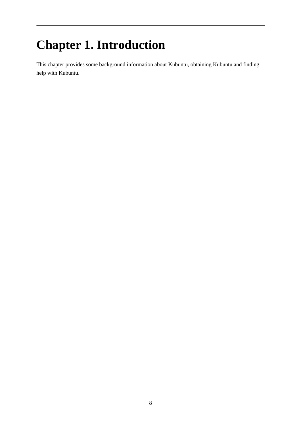# <span id="page-7-0"></span>**Chapter 1. Introduction**

This chapter provides some background information about Kubuntu, obtaining Kubuntu and finding help with Kubuntu.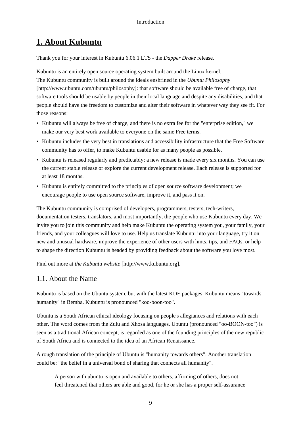## <span id="page-8-0"></span>**1. About Kubuntu**

Thank you for your interest in Kubuntu 6.06.1 LTS - the *Dapper Drake* release.

Kubuntu is an entirely open source operating system built around the Linux kernel. The Kubuntu community is built around the ideals enshrined in the *[Ubuntu Philosophy](http://www.ubuntu.com/ubuntu/philosophy)* [<http://www.ubuntu.com/ubuntu/philosophy>]: that software should be available free of charge, that software tools should be usable by people in their local language and despite any disabilities, and that people should have the freedom to customize and alter their software in whatever way they see fit. For those reasons:

- Kubuntu will always be free of charge, and there is no extra fee for the "enterprise edition," we make our very best work available to everyone on the same Free terms.
- Kubuntu includes the very best in translations and accessibility infrastructure that the Free Software community has to offer, to make Kubuntu usable for as many people as possible.
- Kubuntu is released regularly and predictably; a new release is made every six months. You can use the current stable release or explore the current development release. Each release is supported for at least 18 months.
- Kubuntu is entirely committed to the principles of open source software development; we encourage people to use open source software, improve it, and pass it on.

The Kubuntu community is comprised of developers, programmers, testers, tech-writers, documentation testers, translators, and most importantly, the people who use Kubuntu every day. We invite you to join this community and help make Kubuntu the operating system you, your family, your friends, and your colleagues will love to use. Help us translate Kubuntu into your language, try it on new and unusual hardware, improve the experience of other users with hints, tips, and FAQs, or help to shape the direction Kubuntu is headed by providing feedback about the software you love most.

Find out more at *[the Kubuntu website](http://www.kubuntu.org)* [\[http://www.kubuntu.org](http://www.kubuntu.org)].

#### 1.1. About the Name

Kubuntu is based on the Ubuntu system, but with the latest KDE packages. Kubuntu means "towards humanity" in Bemba. Kubuntu is pronounced "koo-boon-too".

Ubuntu is a South African ethical ideology focusing on people's allegiances and relations with each other. The word comes from the Zulu and Xhosa languages. Ubuntu (pronounced "oo-BOON-too") is seen as a traditional African concept, is regarded as one of the founding principles of the new republic of South Africa and is connected to the idea of an African Renaissance.

A rough translation of the principle of Ubuntu is "humanity towards others". Another translation could be: "the belief in a universal bond of sharing that connects all humanity".

A person with ubuntu is open and available to others, affirming of others, does not feel threatened that others are able and good, for he or she has a proper self-assurance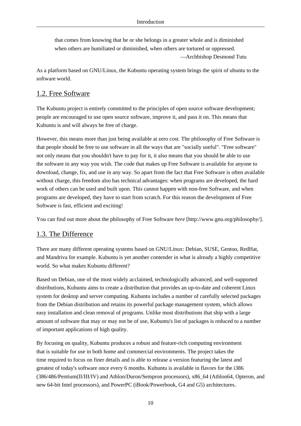<span id="page-9-0"></span>that comes from knowing that he or she belongs in a greater whole and is diminished when others are humiliated or diminished, when others are tortured or oppressed.

—Archbishop Desmond Tutu

As a platform based on GNU/Linux, the Kubuntu operating system brings the spirit of ubuntu to the software world.

#### 1.2. Free Software

The Kubuntu project is entirely committed to the principles of open source software development; people are encouraged to use open source software, improve it, and pass it on. This means that Kubuntu is and will always be free of charge.

However, this means more than just being available at zero cost. The philosophy of Free Software is that people should be free to use software in all the ways that are "socially useful". "Free software" not only means that you shouldn't have to pay for it, it also means that you should be able to use the software in any way you wish. The code that makes up Free Software is available for anyone to download, change, fix, and use in any way. So apart from the fact that Free Software is often available without charge, this freedom also has technical advantages: when programs are developed, the hard work of others can be used and built upon. This cannot happen with non-free Software, and when programs are developed, they have to start from scratch. For this reason the development of Free Software is fast, efficient and exciting!

You can find out more about the philosophy of Free Software *[here](http://www.gnu.org/philosophy/)* [\[http://www.gnu.org/philosophy/\]](http://www.gnu.org/philosophy/).

#### 1.3. The Difference

There are many different operating systems based on GNU/Linux: Debian, SUSE, Gentoo, RedHat, and Mandriva for example. Kubuntu is yet another contender in what is already a highly competitive world. So what makes Kubuntu different?

Based on Debian, one of the most widely acclaimed, technologically advanced, and well-supported distributions, Kubuntu aims to create a distribution that provides an up-to-date and coherent Linux system for desktop and server computing. Kubuntu includes a number of carefully selected packages from the Debian distribution and retains its powerful package management system, which allows easy installation and clean removal of programs. Unlike most distributions that ship with a large amount of software that may or may not be of use, Kubuntu's list of packages is reduced to a number of important applications of high quality.

By focusing on quality, Kubuntu produces a robust and feature-rich computing environment that is suitable for use in both home and commercial environments. The project takes the time required to focus on finer details and is able to release a version featuring the latest and greatest of today's software once every 6 months. Kubuntu is available in flavors for the i386 (386/486/Pentium(II/III/IV) and Athlon/Duron/Sempron processors), x86\_64 (Athlon64, Opteron, and new 64-bit Intel processors), and PowerPC (iBook/Powerbook, G4 and G5) architectures.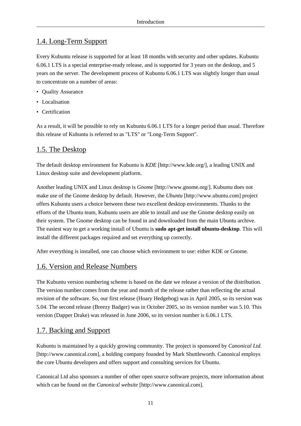#### 1.4. Long-Term Support

Every Kubuntu release is supported for at least 18 months with security and other updates. Kubuntu 6.06.1 LTS is a special enterprise-ready release, and is supported for 3 years on the desktop, and 5 years on the server. The development process of Kubuntu 6.06.1 LTS was slightly longer than usual to concentrate on a number of areas:

- Quality Assurance
- Localisation
- Certification

As a result, it will be possible to rely on Kubuntu 6.06.1 LTS for a longer period than usual. Therefore this release of Kubuntu is referred to as "LTS" or "Long-Term Support".

#### 1.5. The Desktop

The default desktop environment for Kubuntu is *[KDE](http://www.kde.org/)* [<http://www.kde.org/>], a leading UNIX and Linux desktop suite and development platform.

Another leading UNIX and Linux desktop is *[Gnome](http://www.gnome.org/)* [\[http://www.gnome.org/](http://www.gnome.org/)]. Kubuntu does not make use of the Gnome desktop by default. However, the *[Ubuntu](http://www.ubuntu.com)* [\[http://www.ubuntu.com\]](http://www.ubuntu.com) project offers Kubuntu users a choice between these two excellent desktop environments. Thanks to the efforts of the Ubuntu team, Kubuntu users are able to install and use the Gnome desktop easily on their system. The Gnome desktop can be found in and downloaded from the main Ubuntu archive. The easiest way to get a working install of Ubuntu is **sudo apt-get install ubuntu-desktop**. This will install the different packages required and set everything up correctly.

After everything is installed, one can choose which environment to use: either KDE or Gnome.

#### 1.6. Version and Release Numbers

The Kubuntu version numbering scheme is based on the date we release a version of the distribution. The version number comes from the year and month of the release rather than reflecting the actual revision of the software. So, our first release (Hoary Hedgehog) was in April 2005, so its version was 5.04. The second release (Breezy Badger) was in October 2005, so its version number was 5.10. This version (Dapper Drake) was released in June 2006, so its version number is 6.06.1 LTS.

#### 1.7. Backing and Support

Kubuntu is maintained by a quickly growing community. The project is sponsored by *[Canonical Ltd.](http://www.canonical.com)* [<http://www.canonical.com>], a holding company founded by Mark Shuttleworth. Canonical employs the core Ubuntu developers and offers support and consulting services for Ubuntu.

Canonical Ltd also sponsors a number of other open source software projects, more information about which can be found on the *[Canonical website](http://www.canonical.com)* [\[http://www.canonical.com\]](http://www.canonical.com).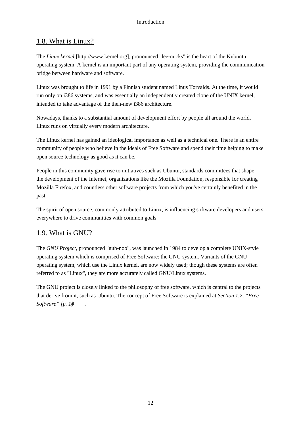#### 1.8. What is Linux?

The *[Linux kernel](http://www.kernel.org)* [<http://www.kernel.org>], pronounced "lee-nucks" is the heart of the Kubuntu operating system. A kernel is an important part of any operating system, providing the communication bridge between hardware and software.

Linux was brought to life in 1991 by a Finnish student named Linus Torvalds. At the time, it would run only on i386 systems, and was essentially an independently created clone of the UNIX kernel, intended to take advantage of the then-new i386 architecture.

Nowadays, thanks to a substantial amount of development effort by people all around the world, Linux runs on virtually every modern architecture.

The Linux kernel has gained an ideological importance as well as a technical one. There is an entire community of people who believe in the ideals of Free Software and spend their time helping to make open source technology as good as it can be.

People in this community gave rise to initiatives such as Ubuntu, standards committees that shape the development of the Internet, organizations like the Mozilla Foundation, responsible for creating Mozilla Firefox, and countless other software projects from which you've certainly benefited in the past.

The spirit of open source, commonly attributed to Linux, is influencing software developers and users everywhere to drive communities with common goals.

#### 1.9. What is GNU?

The *GNU Project*, pronounced "guh-noo", was launched in 1984 to develop a complete UNIX-style operating system which is comprised of Free Software: the GNU system. Variants of the GNU operating system, which use the Linux kernel, are now widely used; though these systems are often referred to as "Linux", they are more accurately called GNU/Linux systems.

The GNU project is closely linked to the philosophy of free software, which is central to the projects that derive from it, such as Ubuntu. The concept of Free Software is explained at *[Section 1.2, "Free](#page-9-0) [Software" \[p. 10\]](#page-9-0)* .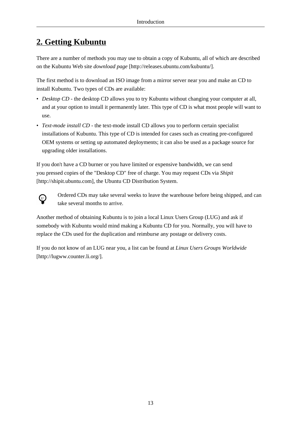## <span id="page-12-0"></span>**2. Getting Kubuntu**

There are a number of methods you may use to obtain a copy of Kubuntu, all of which are described on the Kubuntu Web site *[download page](http://releases.ubuntu.com/kubuntu/)* [[http://releases.ubuntu.com/kubuntu/\]](http://releases.ubuntu.com/kubuntu/).

The first method is to download an ISO image from a mirror server near you and make an CD to install Kubuntu. Two types of CDs are available:

- *Desktop CD* the desktop CD allows you to try Kubuntu without changing your computer at all, and at your option to install it permanently later. This type of CD is what most people will want to use.
- *Text-mode install CD* the text-mode install CD allows you to perform certain specialist installations of Kubuntu. This type of CD is intended for cases such as creating pre-configured OEM systems or setting up automated deployments; it can also be used as a package source for upgrading older installations.

If you don't have a CD burner or you have limited or expensive bandwidth, we can send you pressed copies of the "Desktop CD" free of charge. You may request CDs via *[Shipit](http://shipit.ubuntu.com)* [<http://shipit.ubuntu.com>], the Ubuntu CD Distribution System.



Ordered CDs may take several weeks to leave the warehouse before being shipped, and can take several months to arrive.

Another method of obtaining Kubuntu is to join a local Linux Users Group (LUG) and ask if somebody with Kubuntu would mind making a Kubuntu CD for you. Normally, you will have to replace the CDs used for the duplication and reimburse any postage or delivery costs.

If you do not know of an LUG near you, a list can be found at *[Linux Users Groups Worldwide](http://lugww.counter.li.org/)* [[http://lugww.counter.li.org/\]](http://lugww.counter.li.org/).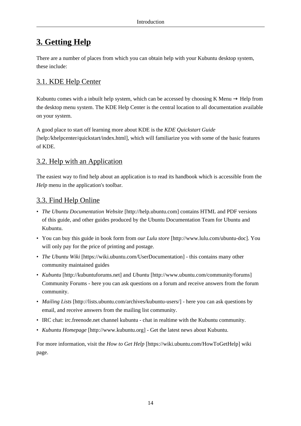## <span id="page-13-0"></span>**3. Getting Help**

There are a number of places from which you can obtain help with your Kubuntu desktop system, these include:

#### 3.1. KDE Help Center

Kubuntu comes with a inbuilt help system, which can be accessed by choosing K Menu  $\rightarrow$  Help from the desktop menu system. The KDE Help Center is the central location to all documentation available on your system.

A good place to start off learning more about KDE is the *[KDE Quickstart Guide](help:/khelpcenter/quickstart/index.html)* [[help:/khelpcenter/quickstart/index.html\]](help:/khelpcenter/quickstart/index.html), which will familiarize you with some of the basic features of KDE.

#### 3.2. Help with an Application

The easiest way to find help about an application is to read its handbook which is accessible from the *Help* menu in the application's toolbar.

#### 3.3. Find Help Online

- *[The Ubuntu Documentation Website](http://help.ubuntu.com)* [<http://help.ubuntu.com>] contains HTML and PDF versions of this guide, and other guides produced by the Ubuntu Documentation Team for Ubuntu and Kubuntu.
- You can buy this guide in book form from *[our Lulu store](http://www.lulu.com/ubuntu-doc)* [\[http://www.lulu.com/ubuntu-doc](http://www.lulu.com/ubuntu-doc)]. You will only pay for the price of printing and postage.
- *[The Ubuntu Wiki](https://wiki.ubuntu.com/UserDocumentation)* [<https://wiki.ubuntu.com/UserDocumentation>] this contains many other community maintained guides
- *[Kubuntu](http://kubuntuforums.net)* [\[http://kubuntuforums.net](http://kubuntuforums.net)] and *[Ubuntu](http://www.ubuntu.com/community/forums)* [\[http://www.ubuntu.com/community/forums\]](http://www.ubuntu.com/community/forums) Community Forums - here you can ask questions on a forum and receive answers from the forum community.
- *[Mailing Lists](http://lists.ubuntu.com/archives/kubuntu-users/)* [[http://lists.ubuntu.com/archives/kubuntu-users/\]](http://lists.ubuntu.com/archives/kubuntu-users/) here you can ask questions by email, and receive answers from the mailing list community.
- IRC chat: irc.freenode.net channel kubuntu chat in realtime with the Kubuntu community.
- *[Kubuntu Homepage](http://www.kubuntu.org)* [<http://www.kubuntu.org>] Get the latest news about Kubuntu.

For more information, visit the *[How to Get Help](https://wiki.ubuntu.com/HowToGetHelp)* [<https://wiki.ubuntu.com/HowToGetHelp>] wiki page.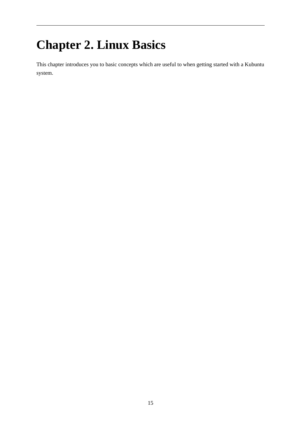# <span id="page-14-0"></span>**Chapter 2. Linux Basics**

This chapter introduces you to basic concepts which are useful to when getting started with a Kubuntu system.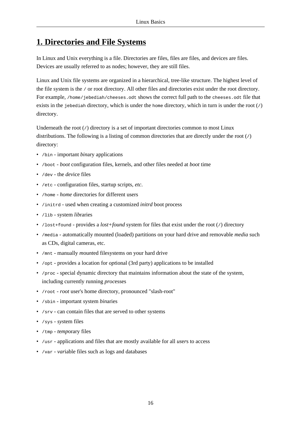## <span id="page-15-0"></span>**1. Directories and File Systems**

In Linux and Unix everything is a file. Directories are files, files are files, and devices are files. Devices are usually referred to as nodes; however, they are still files.

Linux and Unix file systems are organized in a hierarchical, tree-like structure. The highest level of the file system is the / or root directory. All other files and directories exist under the root directory. For example, /home/jebediah/cheeses.odt shows the correct full path to the cheeses.odt file that exists in the jebediah directory, which is under the home directory, which in turn is under the root  $($   $/$ directory.

Underneath the root  $($   $/$ ) directory is a set of important directories common to most Linux distributions. The following is a listing of common directories that are directly under the root  $\binom{7}{1}$ directory:

- /bin important *bin*ary applications
- /boot *boot* configuration files, kernels, and other files needed at *boot* time
- /dev the *dev*ice files
- /etc configuration files, startup scripts, *etc*.
- /home *home* directories for different users
- /initrd used when creating a customized *initrd* boot process
- /lib system *lib*raries
- /lost+found provides a *lost+found* system for files that exist under the root (/) directory
- /media automatically mounted (loaded) partitions on your hard drive and removable *media* such as CDs, digital cameras, etc.
- /mnt manually *m*ou*nt*ed filesystems on your hard drive
- /opt provides a location for *opt*ional (3rd party) applications to be installed
- /proc special dynamic directory that maintains information about the state of the system, including currently running *proc*esses
- /root *root* user's home directory, pronounced "slash-root"
- /sbin important *s*ystem *bin*aries
- /srv can contain files that are *s*e*rv*ed to other systems
- /sys *sys*tem files
- /tmp *t*e*mp*orary files
- /usr applications and files that are mostly available for all *us*e*r*s to access
- /var *var*iable files such as logs and databases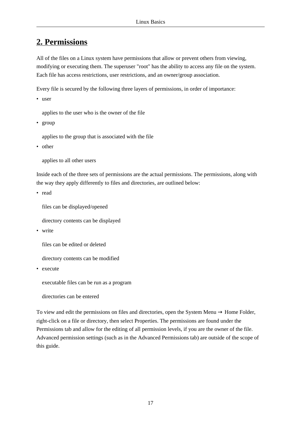#### <span id="page-16-0"></span>**2. Permissions**

All of the files on a Linux system have permissions that allow or prevent others from viewing, modifying or executing them. The superuser "root" has the ability to access any file on the system. Each file has access restrictions, user restrictions, and an owner/group association.

Every file is secured by the following three layers of permissions, in order of importance:

• user

applies to the user who is the owner of the file

• group

applies to the group that is associated with the file

• other

applies to all other users

Inside each of the three sets of permissions are the actual permissions. The permissions, along with the way they apply differently to files and directories, are outlined below:

• read

files can be displayed/opened

directory contents can be displayed

• write

files can be edited or deleted

directory contents can be modified

• execute

executable files can be run as a program

directories can be entered

To view and edit the permissions on files and directories, open the System Menu  $\rightarrow$  Home Folder, right-click on a file or directory, then select Properties. The permissions are found under the Permissions tab and allow for the editing of all permission levels, if you are the owner of the file. Advanced permission settings (such as in the Advanced Permissions tab) are outside of the scope of this guide.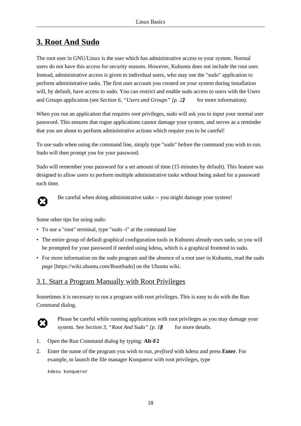## <span id="page-17-0"></span>**3. Root And Sudo**

The root user in GNU/Linux is the user which has administrative access to your system. Normal users do not have this access for security reasons. However, Kubuntu does not include the root user. Instead, administrative access is given to individual users, who may use the "sudo" application to perform administrative tasks. The first user account you created on your system during installation will, by default, have access to sudo. You can restrict and enable sudo access to users with the Users and Groups application (see *Section 6, "Users and Groups" [p. 22* for more information).

When you run an application that requires root privileges, sudo will ask you to input your normal user password. This ensures that rogue applications cannot damage your system, and serves as a reminder that you are about to perform administrative actions which require you to be careful!

To use sudo when using the command line, simply type "sudo" before the command you wish to run. Sudo will then prompt you for your password.

Sudo will remember your password for a set amount of time (15 minutes by default). This feature was designed to allow users to perform multiple administrative tasks without being asked for a password each time.



Be careful when doing administrative tasks -- you might damage your system!

Some other tips for using sudo:

- To use a "root" terminal, type "sudo -i" at the command line
- The entire group of default graphical configuration tools in Kubuntu already uses sudo, so you will be prompted for your password if needed using kdesu, which is a graphical frontend to sudo.
- For more information on the sudo program and the absence of a root user in Kubuntu, read the *[sudo](https://wiki.ubuntu.com/RootSudo) [page](https://wiki.ubuntu.com/RootSudo)* [[https://wiki.ubuntu.com/RootSudo\]](https://wiki.ubuntu.com/RootSudo) on the Ubuntu wiki.

#### 3.1. Start a Program Manually with Root Privileges

Sometimes it is necessary to run a program with root privileges. This is easy to do with the Run Command dialog.



Please be careful while running applications with root privileges as you may damage your system. See *Section 3, "Root And Sudo" [p. 1§* for more details.

- 1. Open the Run Command dialog by typing: **Alt**-**F2**
- 2. Enter the name of the program you wish to run, *prefixed* with kdesu and press **Enter**. For example, to launch the file manager Konqueror with root privileges, type

kdesu konqueror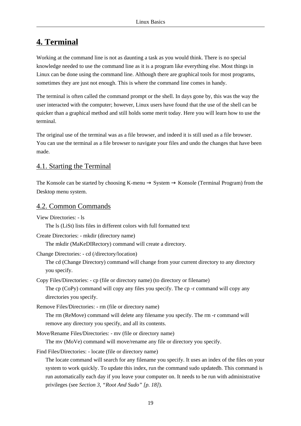### <span id="page-18-0"></span>**4. Terminal**

Working at the command line is not as daunting a task as you would think. There is no special knowledge needed to use the command line as it is a program like everything else. Most things in Linux can be done using the command line. Although there are graphical tools for most programs, sometimes they are just not enough. This is where the command line comes in handy.

The terminal is often called the command prompt or the shell. In days gone by, this was the way the user interacted with the computer; however, Linux users have found that the use of the shell can be quicker than a graphical method and still holds some merit today. Here you will learn how to use the terminal.

The original use of the terminal was as a file browser, and indeed it is still used as a file browser. You can use the terminal as a file browser to navigate your files and undo the changes that have been made.

#### 4.1. Starting the Terminal

The Konsole can be started by choosing K-menu  $\rightarrow$  System  $\rightarrow$  Konsole (Terminal Program) from the Desktop menu system.

#### 4.2. Common Commands

```
View Directories: - ls
```
The ls (LiSt) lists files in different colors with full formatted text

```
Create Directories: - mkdir (directory name)
```
The mkdir (MaKeDIRectory) command will create a directory.

```
Change Directories: - cd (/directory/location)
```
The cd (Change Directory) command will change from your current directory to any directory you specify.

Copy Files/Directories: - cp (file or directory name) (to directory or filename) The cp (CoPy) command will copy any files you specify. The cp -r command will copy any directories you specify.

Remove Files/Directories: - rm (file or directory name)

The rm (ReMove) command will delete any filename you specify. The rm -r command will remove any directory you specify, and all its contents.

Move/Rename Files/Directories: - mv (file or directory name)

The mv (MoVe) command will move/rename any file or directory you specify.

Find Files/Directories: - locate (file or directory name)

The locate command will search for any filename you specify. It uses an index of the files on your system to work quickly. To update this index, run the command sudo updatedb. This command is run automatically each day if you leave your computer on. It needs to be run with administrative privileges (see *[Section 3, "Root And Sudo" \[p. 18\]](#page-17-0)*).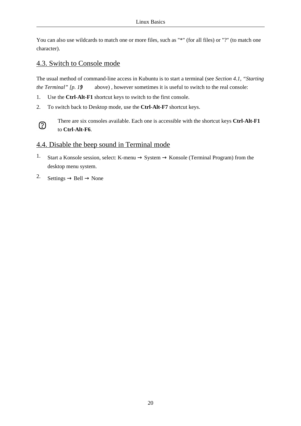You can also use wildcards to match one or more files, such as "\*" (for all files) or "?" (to match one character).

#### 4.3. Switch to Console mode

The usual method of command-line access in Kubuntu is to start a terminal (see *[Section 4.1, "Starting](#page-18-0) [the Terminal" \[p. 19\]](#page-18-0)* above), however sometimes it is useful to switch to the real console:

- 1. Use the **Ctrl**-**Alt**-**F1** shortcut keys to switch to the first console.
- 2. To switch back to Desktop mode, use the **Ctrl**-**Alt**-**F7** shortcut keys.



There are six consoles available. Each one is accessible with the shortcut keys **Ctrl**-**Alt**-**F1** to **Ctrl**-**Alt**-**F6**.

#### 4.4. Disable the beep sound in Terminal mode

- 1. Start a Konsole session, select: K-menu  $\rightarrow$  System  $\rightarrow$  Konsole (Terminal Program) from the desktop menu system.
- 2. Settings  $\rightarrow$  Bell  $\rightarrow$  None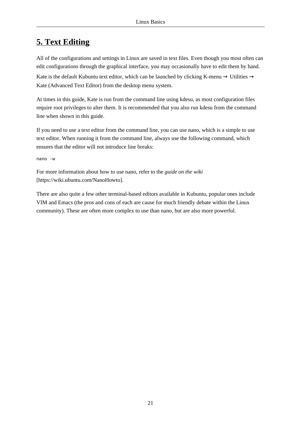## <span id="page-20-0"></span>**5. Text Editing**

All of the configurations and settings in Linux are saved in text files. Even though you most often can edit configurations through the graphical interface, you may occasionally have to edit them by hand.

Kate is the default Kubuntu text editor, which can be launched by clicking K-menu  $\rightarrow$  Utilities  $\rightarrow$ Kate (Advanced Text Editor) from the desktop menu system.

At times in this guide, Kate is run from the command line using kdesu, as most configuration files require root privileges to alter them. It is recommended that you also run kdesu from the command line when shown in this guide.

If you need to use a text editor from the command line, you can use nano, which is a simple to use text editor. When running it from the command line, always use the following command, which ensures that the editor will not introduce line breaks:

nano -w

For more information about how to use nano, refer to the *[guide on the wiki](https://wiki.ubuntu.com/NanoHowto)* [[https://wiki.ubuntu.com/NanoHowto\]](https://wiki.ubuntu.com/NanoHowto).

There are also quite a few other terminal-based editors available in Kubuntu, popular ones include VIM and Emacs (the pros and cons of each are cause for much friendly debate within the Linux community). These are often more complex to use than nano, but are also more powerful.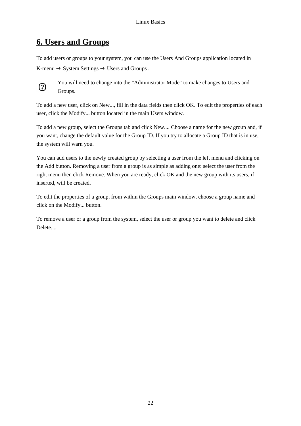## <span id="page-21-0"></span>**6. Users and Groups**

To add users or groups to your system, you can use the Users And Groups application located in  $K$ -menu  $\rightarrow$  System Settings  $\rightarrow$  Users and Groups .



You will need to change into the "Administrator Mode" to make changes to Users and Groups.

To add a new user, click on New..., fill in the data fields then click OK. To edit the properties of each user, click the Modify... button located in the main Users window.

To add a new group, select the Groups tab and click New.... Choose a name for the new group and, if you want, change the default value for the Group ID. If you try to allocate a Group ID that is in use, the system will warn you.

You can add users to the newly created group by selecting a user from the left menu and clicking on the Add button. Removing a user from a group is as simple as adding one: select the user from the right menu then click Remove. When you are ready, click OK and the new group with its users, if inserted, will be created.

To edit the properties of a group, from within the Groups main window, choose a group name and click on the Modify... button.

To remove a user or a group from the system, select the user or group you want to delete and click Delete....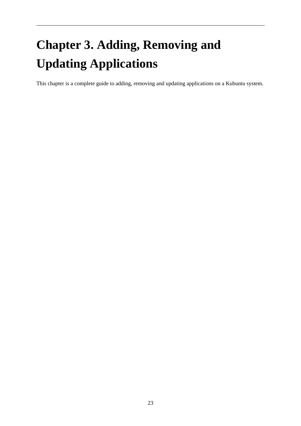# <span id="page-22-0"></span>**Chapter 3. Adding, Removing and Updating Applications**

This chapter is a complete guide to adding, removing and updating applications on a Kubuntu system.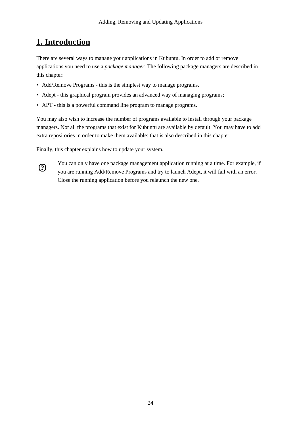## <span id="page-23-0"></span>**1. Introduction**

There are several ways to manage your applications in Kubuntu. In order to add or remove applications you need to use a *package manager*. The following package managers are described in this chapter:

- Add/Remove Programs this is the simplest way to manage programs.
- Adept this graphical program provides an advanced way of managing programs;
- APT this is a powerful command line program to manage programs.

You may also wish to increase the number of programs available to install through your package managers. Not all the programs that exist for Kubuntu are available by default. You may have to add extra repositories in order to make them available: that is also described in this chapter.

Finally, this chapter explains how to update your system.



You can only have one package management application running at a time. For example, if you are running Add/Remove Programs and try to launch Adept, it will fail with an error. Close the running application before you relaunch the new one.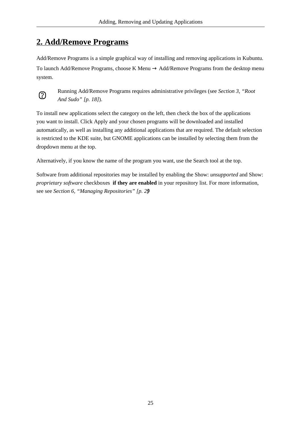## <span id="page-24-0"></span>**2. Add/Remove Programs**

Add/Remove Programs is a simple graphical way of installing and removing applications in Kubuntu.

To launch Add/Remove Programs, choose K Menu  $\rightarrow$  Add/Remove Programs from the desktop menu system.



Running Add/Remove Programs requires administrative privileges (see *[Section 3, "Root](#page-17-0) [And Sudo" \[p. 18\]](#page-17-0)*).

To install new applications select the category on the left, then check the box of the applications you want to install. Click Apply and your chosen programs will be downloaded and installed automatically, as well as installing any additional applications that are required. The default selection is restricted to the KDE suite, but GNOME applications can be installed by selecting them from the dropdown menu at the top.

Alternatively, if you know the name of the program you want, use the Search tool at the top.

Software from additional repositories may be installed by enabling the Show: *unsupported* and Show: *proprietary software* checkboxes **if they are enabled** in your repository list. For more information, see see *[Section 6, "Managing Repositories" \[p. 29\]](#page-28-0)*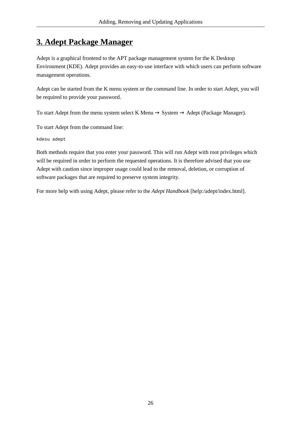## <span id="page-25-0"></span>**3. Adept Package Manager**

Adept is a graphical frontend to the APT package management system for the K Desktop Environment (KDE). Adept provides an easy-to-use interface with which users can perform software management operations.

Adept can be started from the K menu system or the command line. In order to start Adept, you will be required to provide your password.

To start Adept from the menu system select K Menu  $\rightarrow$  System  $\rightarrow$  Adept (Package Manager).

To start Adept from the command line:

kdesu adept

Both methods require that you enter your password. This will run Adept with root privileges which will be required in order to perform the requested operations. It is therefore advised that you use Adept with caution since improper usage could lead to the removal, deletion, or corruption of software packages that are required to preserve system integrity.

For more help with using Adept, please refer to the *[Adept Handbook](help:/adept/index.html)* [\[help:/adept/index.html\]](help:/adept/index.html).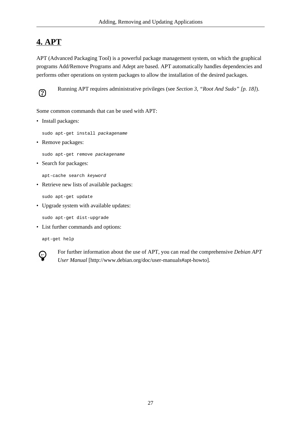## <span id="page-26-0"></span>**4. APT**

APT (Advanced Packaging Tool) is a powerful package management system, on which the graphical programs Add/Remove Programs and Adept are based. APT automatically handles dependencies and performs other operations on system packages to allow the installation of the desired packages.



Running APT requires administrative privileges (see *[Section 3, "Root And Sudo" \[p. 18\]](#page-17-0)*).

Some common commands that can be used with APT:

• Install packages:

sudo apt-get install packagename

• Remove packages:

sudo apt-get remove packagename

• Search for packages:

apt-cache search keyword

• Retrieve new lists of available packages:

sudo apt-get update

• Upgrade system with available updates:

sudo apt-get dist-upgrade

• List further commands and options:

apt-get help



For further information about the use of APT, you can read the comprehensive *[Debian APT](http://www.debian.org/doc/user-manuals#apt-howto) [User Manual](http://www.debian.org/doc/user-manuals#apt-howto)* [<http://www.debian.org/doc/user-manuals#apt-howto>].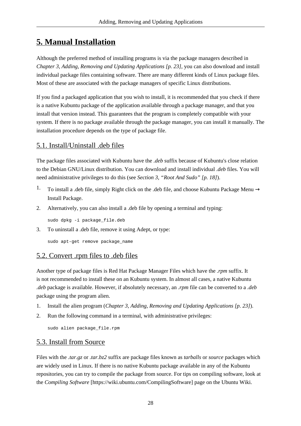## <span id="page-27-0"></span>**5. Manual Installation**

Although the preferred method of installing programs is via the package managers described in *[Chapter 3, Adding, Removing and Updating Applications \[p. 23\]](#page-22-0)*, you can also download and install individual package files containing software. There are many different kinds of Linux package files. Most of these are associated with the package managers of specific Linux distributions.

If you find a packaged application that you wish to install, it is recommended that you check if there is a native Kubuntu package of the application available through a package manager, and that you install that version instead. This guarantees that the program is completely compatible with your system. If there is no package available through the package manager, you can install it manually. The installation procedure depends on the type of package file.

#### 5.1. Install/Uninstall .deb files

The package files associated with Kubuntu have the *.deb* suffix because of Kubuntu's close relation to the Debian GNU/Linux distribution. You can download and install individual *.deb* files. You will need administrative privileges to do this (see *[Section 3, "Root And Sudo" \[p. 18\]](#page-17-0)*).

- 1. To install a .deb file, simply Right click on the .deb file, and choose Kubuntu Package Menu  $\rightarrow$ Install Package.
- 2. Alternatively, you can also install a .deb file by opening a terminal and typing:

sudo dpkg -i package\_file.deb

3. To uninstall a .deb file, remove it using Adept, or type:

sudo apt-get remove package name

#### 5.2. Convert .rpm files to .deb files

Another type of package files is Red Hat Package Manager Files which have the *.rpm* suffix. It is not recommended to install these on an Kubuntu system. In almost all cases, a native Kubuntu *.deb* package is available. However, if absolutely necessary, an *.rpm* file can be converted to a *.deb* package using the program alien.

- 1. Install the alien program (*[Chapter 3, Adding, Removing and Updating Applications \[p. 23\]](#page-22-0)*).
- 2. Run the following command in a terminal, with administrative privileges:

sudo alien package\_file.rpm

#### 5.3. Install from Source

Files with the *.tar.gz* or *.tar.bz2* suffix are package files known as *tarballs* or *source* packages which are widely used in Linux. If there is no native Kubuntu package available in any of the Kubuntu repositories, you can try to compile the package from source. For tips on compiling software, look at the *[Compiling Software](https://wiki.ubuntu.com/CompilingSoftware)* [[https://wiki.ubuntu.com/CompilingSoftware\]](https://wiki.ubuntu.com/CompilingSoftware) page on the Ubuntu Wiki.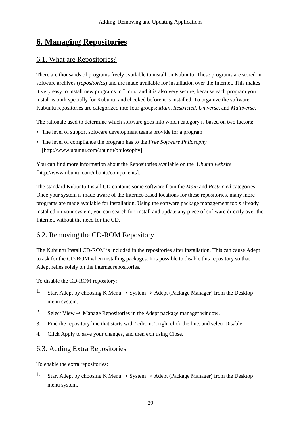## <span id="page-28-0"></span>**6. Managing Repositories**

#### 6.1. What are Repositories?

There are thousands of programs freely available to install on Kubuntu. These programs are stored in software archives (*repositories*) and are made available for installation over the Internet. This makes it very easy to install new programs in Linux, and it is also very secure, because each program you install is built specially for Kubuntu and checked before it is installed. To organize the software, Kubuntu repositories are categorized into four groups: *Main*, *Restricted*, *Universe*, and *Multiverse*.

The rationale used to determine which software goes into which category is based on two factors:

- The level of support software development teams provide for a program
- The level of compliance the program has to the *[Free Software Philosophy](http://www.ubuntu.com/ubuntu/philosophy)* [<http://www.ubuntu.com/ubuntu/philosophy>]

You can find more information about the Repositories available on the *[Ubuntu website](http://www.ubuntu.com/ubuntu/components)* [[http://www.ubuntu.com/ubuntu/components\]](http://www.ubuntu.com/ubuntu/components).

The standard Kubuntu Install CD contains some software from the *Main* and *Restricted* categories. Once your system is made aware of the Internet-based locations for these repositories, many more programs are made available for installation. Using the software package management tools already installed on your system, you can search for, install and update any piece of software directly over the Internet, without the need for the CD.

#### 6.2. Removing the CD-ROM Repository

The Kubuntu Install CD-ROM is included in the repositories after installation. This can cause Adept to ask for the CD-ROM when installing packages. It is possible to disable this repository so that Adept relies solely on the internet repositories.

To disable the CD-ROM repository:

- 1. Start Adept by choosing K Menu  $\rightarrow$  System  $\rightarrow$  Adept (Package Manager) from the Desktop menu system.
- 2. Select View  $\rightarrow$  Manage Repositories in the Adept package manager window.
- 3. Find the repository line that starts with "cdrom:", right click the line, and select Disable.
- 4. Click Apply to save your changes, and then exit using Close.

#### 6.3. Adding Extra Repositories

To enable the extra repositories:

1. Start Adept by choosing K Menu  $\rightarrow$  System  $\rightarrow$  Adept (Package Manager) from the Desktop menu system.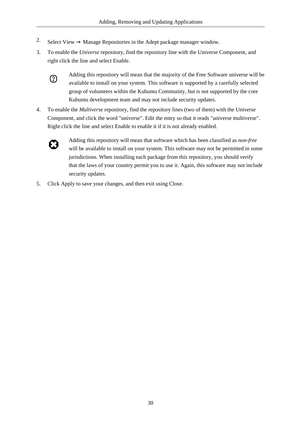- 2. Select View  $\rightarrow$  Manage Repositories in the Adept package manager window.
- 3. To enable the *Universe* repository, find the repository line with the Universe Component, and right click the line and select Enable.
	- $\odot$

Adding this repository will mean that the majority of the Free Software universe will be available to install on your system. This software is supported by a carefully selected group of volunteers within the Kubuntu Community, but is not supported by the core Kubuntu development team and may not include security updates.

4. To enable the *Multiverse* repository, find the repository lines (two of them) with the Universe Component, and click the word "universe". Edit the entry so that it reads "universe multiverse". Right click the line and select Enable to enable it if it is not already enabled.



Adding this repository will mean that software which has been classified as *non-free* will be available to install on your system. This software may not be permitted in some jurisdictions. When installing each package from this repository, you should verify that the laws of your country permit you to use it. Again, this software may not include security updates.

5. Click Apply to save your changes, and then exit using Close.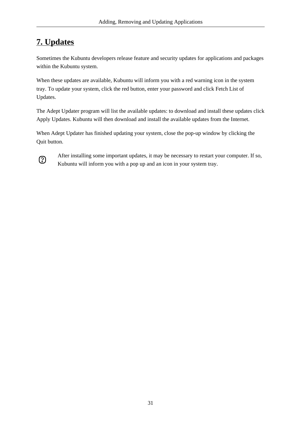## <span id="page-30-0"></span>**7. Updates**

Sometimes the Kubuntu developers release feature and security updates for applications and packages within the Kubuntu system.

When these updates are available, Kubuntu will inform you with a red warning icon in the system tray. To update your system, click the red button, enter your password and click Fetch List of Updates.

The Adept Updater program will list the available updates: to download and install these updates click Apply Updates. Kubuntu will then download and install the available updates from the Internet.

When Adept Updater has finished updating your system, close the pop-up window by clicking the Quit button.



After installing some important updates, it may be necessary to restart your computer. If so, Kubuntu will inform you with a pop up and an icon in your system tray.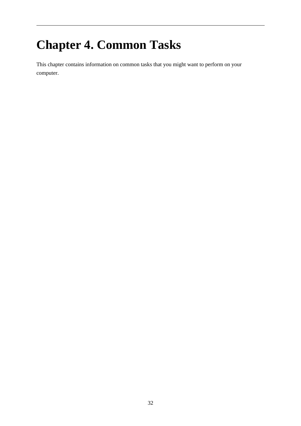# <span id="page-31-0"></span>**Chapter 4. Common Tasks**

This chapter contains information on common tasks that you might want to perform on your computer.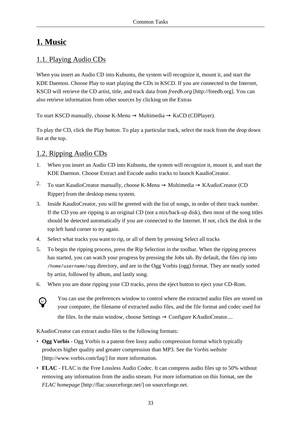## <span id="page-32-0"></span>**1. Music**

#### 1.1. Playing Audio CDs

When you insert an Audio CD into Kubuntu, the system will recognize it, mount it, and start the KDE Daemon. Choose Play to start playing the CDs in KSCD. If you are connected to the Internet, KSCD will retrieve the CD artist, title, and track data from *[freedb.org](http://freedb.org)* [[http://freedb.org\]](http://freedb.org). You can also retrieve information from other sources by clicking on the Extras

To start KSCD manually, choose K-Menu  $\rightarrow$  Multimedia  $\rightarrow$  KsCD (CDPlayer).

To play the CD, click the Play button. To play a particular track, select the track from the drop down list at the top.

#### 1.2. Ripping Audio CDs

- 1. When you insert an Audio CD into Kubuntu, the system will recognize it, mount it, and start the KDE Daemon. Choose Extract and Encode audio tracks to launch KaudioCreator.
- 2. To start KaudioCreator manually, choose K-Menu  $\rightarrow$  Multimedia  $\rightarrow$  KAudioCreator (CD Ripper) from the desktop menu system.
- 3. Inside KaudioCreator, you will be greeted with the list of songs, in order of their track number. If the CD you are ripping is an original CD (not a mix/back-up disk), then most of the song titles should be detected automatically if you are connected to the Internet. If not, click the disk in the top left hand corner to try again.
- 4. Select what tracks you want to rip, or all of them by pressing Select all tracks
- 5. To begin the ripping process, press the Rip Selection in the toolbar. When the ripping process has started, you can watch your progress by pressing the Jobs tab. By default, the files rip into /home/username/ogg directory, and are in the Ogg Vorbis (ogg) format. They are neatly sorted by artist, followed by album, and lastly song.
- 6. When you are done ripping your CD tracks, press the eject button to eject your CD-Rom.



You can use the preferences window to control where the extracted audio files are stored on your computer, the filename of extracted audio files, and the file format and codec used for the files. In the main window, choose Settings  $\rightarrow$  Configure KAudioCreator....

KAudioCreator can extract audio files to the following formats:

- **Ogg Vorbis** Ogg Vorbis is a patent-free lossy audio compression format which typically produces higher quality and greater compression than MP3. See the *[Vorbis website](http://www.vorbis.com/faq/)* [[http://www.vorbis.com/faq/\]](http://www.vorbis.com/faq/) for more information.
- **FLAC** FLAC is the Free Lossless Audio Codec. It can compress audio files up to 50% without removing any information from the audio stream. For more information on this format, see the *[FLAC homepage](http://flac.sourceforge.net/)* [\[http://flac.sourceforge.net/\]](http://flac.sourceforge.net/) on sourceforge.net.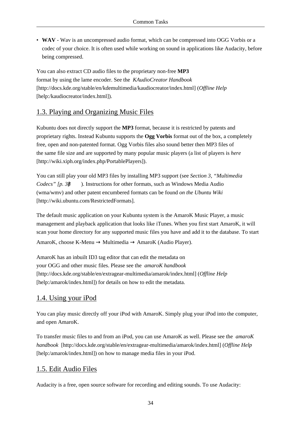• **WAV** - Wav is an uncompressed audio format, which can be compressed into OGG Vorbis or a codec of your choice. It is often used while working on sound in applications like Audacity, before being compressed.

You can also extract CD audio files to the proprietary non-free **MP3** format by using the lame encoder. See the *[KAudioCreator Handbook](http://docs.kde.org/stable/en/kdemultimedia/kaudiocreator/index.html)*  [<http://docs.kde.org/stable/en/kdemultimedia/kaudiocreator/index.html>] (*[Offline Help](help:/kaudiocreator/index.html)* [[help:/kaudiocreator/index.html\]](help:/kaudiocreator/index.html)).

#### 1.3. Playing and Organizing Music Files

Kubuntu does not directly support the **MP3** format, because it is restricted by patents and proprietary rights. Instead Kubuntu supports the **Ogg Vorbis** format out of the box, a completely free, open and non-patented format. Ogg Vorbis files also sound better then MP3 files of the same file size and are supported by many popular music players (a list of players is *[here](http://wiki.xiph.org/index.php/PortablePlayers)* [<http://wiki.xiph.org/index.php/PortablePlayers>]).

You can still play your old MP3 files by installing MP3 support (see *[Section 3, "Multimedia](#page-37-0) [Codecs" \[p. 38\]](#page-37-0)* ). Instructions for other formats, such as Windows Media Audio (wma/wmv) and other patent encumbered formats can be found *[on the Ubuntu Wiki](http://wiki.ubuntu.com/RestrictedFormats)* [<http://wiki.ubuntu.com/RestrictedFormats>].

The default music application on your Kubuntu system is the AmaroK Music Player, a music management and playback application that looks like iTunes. When you first start AmaroK, it will scan your home directory for any supported music files you have and add it to the database. To start AmaroK, choose K-Menu  $\rightarrow$  Multimedia  $\rightarrow$  AmaroK (Audio Player).

AmaroK has an inbuilt ID3 tag editor that can edit the metadata on your OGG and other music files. Please see the *[amaroK handbook](http://docs.kde.org/stable/en/extragear-multimedia/amarok/index.html)*  [[http://docs.kde.org/stable/en/extragear-multimedia/amarok/index.html\]](http://docs.kde.org/stable/en/extragear-multimedia/amarok/index.html) (*[Offline Help](help:/amarok/index.html)* [<help:/amarok/index.html>]) for details on how to edit the metadata.

#### 1.4. Using your iPod

You can play music directly off your iPod with AmaroK. Simply plug your iPod into the computer, and open AmaroK.

To transfer music files to and from an iPod, you can use AmaroK as well. Please see the *[amaroK](http://docs.kde.org/stable/en/extragear-multimedia/amarok/index.html) [handbook](http://docs.kde.org/stable/en/extragear-multimedia/amarok/index.html)* [<http://docs.kde.org/stable/en/extragear-multimedia/amarok/index.html>] (*[Offline Help](help:/amarok/index.html)* [<help:/amarok/index.html>]) on how to manage media files in your iPod.

#### 1.5. Edit Audio Files

Audacity is a free, open source software for recording and editing sounds. To use Audacity: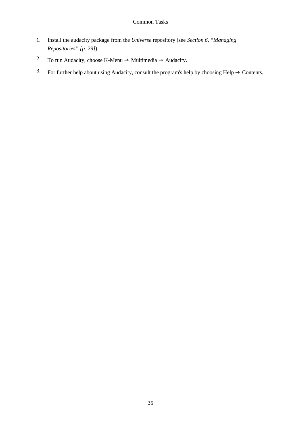- 1. Install the audacity package from the *Universe* repository (see *[Section 6, "Managing](#page-28-0) [Repositories" \[p. 29\]](#page-28-0)*).
- 2. To run Audacity, choose K-Menu  $\rightarrow$  Multimedia  $\rightarrow$  Audacity.
- 3. For further help about using Audacity, consult the program's help by choosing Help  $\rightarrow$  Contents.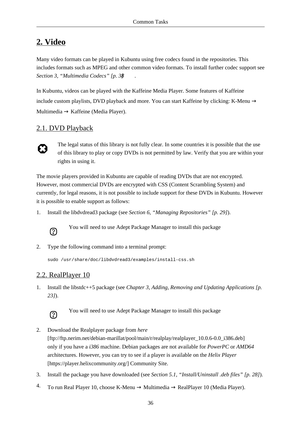## <span id="page-35-0"></span>**2. Video**

Many video formats can be played in Kubuntu using free codecs found in the repositories. This includes formats such as MPEG and other common video formats. To install further codec support see *[Section 3, "Multimedia Codecs" \[p. 38\]](#page-37-0)* .

In Kubuntu, videos can be played with the Kaffeine Media Player. Some features of Kaffeine include custom playlists, DVD playback and more. You can start Kaffeine by clicking: K-Menu  $\rightarrow$ Multimedia  $\rightarrow$  Kaffeine (Media Player).

#### 2.1. DVD Playback



The legal status of this library is not fully clear. In some countries it is possible that the use of this library to play or copy DVDs is not permitted by law. Verify that you are within your rights in using it.

The movie players provided in Kubuntu are capable of reading DVDs that are not encrypted. However, most commercial DVDs are encrypted with CSS (Content Scrambling System) and currently, for legal reasons, it is not possible to include support for these DVDs in Kubuntu. However it is possible to enable support as follows:

1. Install the libdvdread3 package (see *[Section 6, "Managing Repositories" \[p. 29\]](#page-28-0)*).



You will need to use Adept Package Manager to install this package

2. Type the following command into a terminal prompt:

sudo /usr/share/doc/libdvdread3/examples/install-css.sh

#### 2.2. RealPlayer 10

1. Install the libstdc++5 package (see *[Chapter 3, Adding, Removing and Updating Applications \[p.](#page-22-0) [23\]](#page-22-0)*).



You will need to use Adept Package Manager to install this package

- 2. Download the Realplayer package from *[here](ftp://ftp.nerim.net/debian-marillat/pool/main/r/realplay/realplayer_10.0.6-0.0_i386.deb)* [[ftp://ftp.nerim.net/debian-marillat/pool/main/r/realplay/realplayer\\_10.0.6-0.0\\_i386.deb](ftp://ftp.nerim.net/debian-marillat/pool/main/r/realplay/realplayer_10.0.6-0.0_i386.deb)] only if you have a *i386* machine. Debian packages are not available for *PowerPC* or *AMD64* architectures. However, you can try to see if a player is available on the *[Helix Player](https://player.helixcommunity.org/)* [<https://player.helixcommunity.org/>] Community Site.
- 3. Install the package you have downloaded (see *[Section 5.1, "Install/Uninstall .deb files" \[p. 28\]](#page-27-0)*).
- 4. To run Real Player 10, choose K-Menu  $\rightarrow$  Multimedia  $\rightarrow$  RealPlayer 10 (Media Player).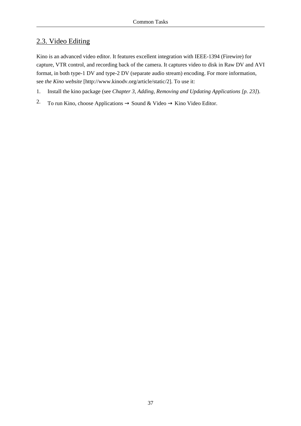## 2.3. Video Editing

Kino is an advanced video editor. It features excellent integration with IEEE-1394 (Firewire) for capture, VTR control, and recording back of the camera. It captures video to disk in Raw DV and AVI format, in both type-1 DV and type-2 DV (separate audio stream) encoding. For more information, see *[the Kino website](http://www.kinodv.org/article/static/2)* [[http://www.kinodv.org/article/static/2\]](http://www.kinodv.org/article/static/2). To use it:

- 1. Install the kino package (see *[Chapter 3, Adding, Removing and Updating Applications \[p. 23\]](#page-22-0)*).
- 2. To run Kino, choose Applications  $\rightarrow$  Sound & Video  $\rightarrow$  Kino Video Editor.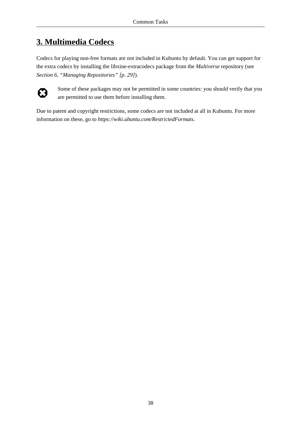# **3. Multimedia Codecs**

Codecs for playing non-free formats are not included in Kubuntu by default. You can get support for the extra codecs by installing the libxine-extracodecs package from the *Multiverse* repository (see *[Section 6, "Managing Repositories" \[p. 29\]](#page-28-0)*).



Some of these packages may not be permitted in some countries: you should verify that you are permitted to use them before installing them.

Due to patent and copyright restrictions, some codecs are not included at all in Kubuntu. For more information on these, go to *<https://wiki.ubuntu.com/RestrictedFormats>*.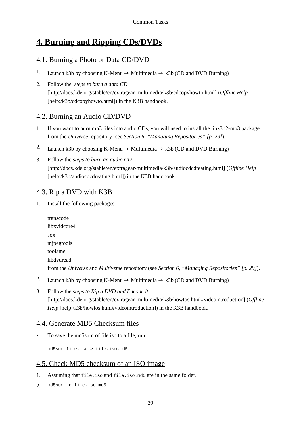# **4. Burning and Ripping CDs/DVDs**

## 4.1. Burning a Photo or Data CD/DVD

- 1. Launch k3b by choosing K-Menu  $\rightarrow$  Multimedia  $\rightarrow$  k3b (CD and DVD Burning)
- 2. Follow the *[steps to burn a data CD](http://docs.kde.org/stable/en/extragear-multimedia/k3b/cdcopyhowto.html)*  [[http://docs.kde.org/stable/en/extragear-multimedia/k3b/cdcopyhowto.html\]](http://docs.kde.org/stable/en/extragear-multimedia/k3b/cdcopyhowto.html) (*[Offline Help](help:/k3b/cdcopyhowto.html)* [<help:/k3b/cdcopyhowto.html>]) in the K3B handbook.

# 4.2. Burning an Audio CD/DVD

- 1. If you want to burn mp3 files into audio CDs, you will need to install the libk3b2-mp3 package from the *Universe* repository (see *[Section 6, "Managing Repositories" \[p. 29\]](#page-28-0)*).
- 2. Launch k3b by choosing K-Menu  $\rightarrow$  Multimedia  $\rightarrow$  k3b (CD and DVD Burning)
- 3. Follow the *[steps to burn an audio CD](http://docs.kde.org/stable/en/extragear-multimedia/k3b/audiocdcdreating.html)* [<http://docs.kde.org/stable/en/extragear-multimedia/k3b/audiocdcdreating.html>] (*[Offline Help](help:/k3b/audiocdcdreating.html)* [[help:/k3b/audiocdcdreating.html\]](help:/k3b/audiocdcdreating.html)) in the K3B handbook.

## 4.3. Rip a DVD with K3B

1. Install the following packages

| transcode                                                                                     |
|-----------------------------------------------------------------------------------------------|
| libxvidcore4                                                                                  |
| <b>SOX</b>                                                                                    |
| mipegtools                                                                                    |
| toolame                                                                                       |
| libdydread                                                                                    |
| from the Universe and Multiverse repository (see Section 6, "Managing Repositories" [p. 29]). |

- 2. Launch k3b by choosing K-Menu  $\rightarrow$  Multimedia  $\rightarrow$  k3b (CD and DVD Burning)
- 3. Follow the *[steps to Rip a DVD and Encode it](http://docs.kde.org/stable/en/extragear-multimedia/k3b/howtos.html#videointroduction)*

[<http://docs.kde.org/stable/en/extragear-multimedia/k3b/howtos.html#videointroduction>] (*[Offline](help:/k3b/howtos.html#videointroduction) [Help](help:/k3b/howtos.html#videointroduction)* [[help:/k3b/howtos.html#videointroduction\]](help:/k3b/howtos.html#videointroduction)) in the K3B handbook.

# 4.4. Generate MD5 Checksum files

• To save the md5sum of file.iso to a file, run:

md5sum file.iso > file.iso.md5

#### 4.5. Check MD5 checksum of an ISO image

- 1. Assuming that file.iso and file.iso.md5 are in the same folder.
- 2. md5sum -c file.iso.md5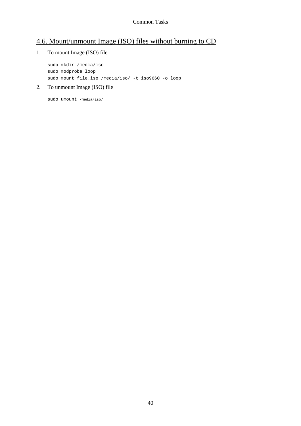# 4.6. Mount/unmount Image (ISO) files without burning to CD

1. To mount Image (ISO) file

sudo mkdir /media/iso sudo modprobe loop sudo mount file.iso /media/iso/ -t iso9660 -o loop

#### 2. To unmount Image (ISO) file

sudo umount /media/iso/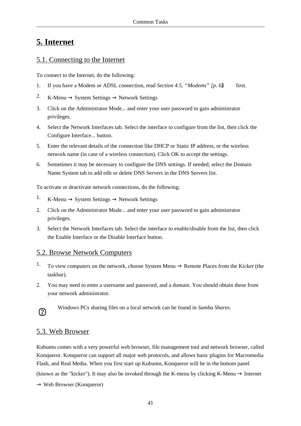# **5. Internet**

#### 5.1. Connecting to the Internet

To connect to the Internet, do the following:

- 1. If you have a Modem or ADSL connection, read *[Section 4.5, "Modems" \[p. 65\]](#page-64-0)* first.
- 2. K-Menu  $\rightarrow$  System Settings  $\rightarrow$  Network Settings
- 3. Click on the Administrator Mode... and enter your user password to gain administrator privileges.
- 4. Select the Network Interfaces tab. Select the interface to configure from the list, then click the Configure Interface... button.
- 5. Enter the relevant details of the connection like DHCP or Static IP address, or the wireless network name (in case of a wireless connection). Click OK to accept the settings.
- 6. Sometimes it may be necessary to configure the DNS settings. If needed, select the Domain Name System tab to add edit or delete DNS Servers in the DNS Servers list.

To activate or deactivate network connections, do the following:

- 1. K-Menu  $\rightarrow$  System Settings  $\rightarrow$  Network Settings
- 2. Click on the Administrator Mode... and enter your user password to gain administrator privileges.
- 3. Select the Network Interfaces tab. Select the interface to enable/disable from the list, then click the Enable Interface or the Disable Interface button.

# 5.2. Browse Network Computers

- 1. To view computers on the network, choose System Menu  $\rightarrow$  Remote Places from the Kicker (the taskbar).
- 2. You may need to enter a username and password, and a domain. You should obtain these from your network administrator.



Windows PCs sharing files on a local network can be found in *Samba Shares*.

# 5.3. Web Browser

Kubuntu comes with a very powerful web browser, file management tool and network browser, called Konqueror. Konqueror can support all major web protocols, and allows basic plugins for Macromedia Flash, and Real Media. When you first start up Kubuntu, Konqueror will be in the bottom panel (known as the "kicker"). It may also be invoked through the K-menu by clicking K-Menu  $\rightarrow$  Internet  $\rightarrow$  Web Browser (Konqueror)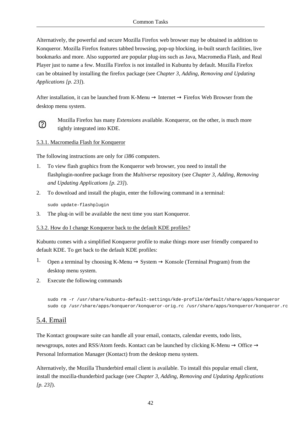Alternatively, the powerful and secure Mozilla Firefox web browser may be obtained in addition to Konqueror. Mozilla Firefox features tabbed browsing, pop-up blocking, in-built search facilities, live bookmarks and more. Also supported are popular plug-ins such as Java, Macromedia Flash, and Real Player just to name a few. Mozilla Firefox is not installed in Kubuntu by default. Mozilla Firefox can be obtained by installing the firefox package (see *[Chapter 3, Adding, Removing and Updating](#page-22-0) [Applications \[p. 23\]](#page-22-0)*).

After installation, it can be launched from K-Menu  $\rightarrow$  Internet  $\rightarrow$  Firefox Web Browser from the desktop menu system.



Mozilla Firefox has many *Extensions* available. Konqueror, on the other, is much more tightly integrated into KDE.

#### 5.3.1. Macromedia Flash for Konqueror

The following instructions are only for *i386* computers.

- 1. To view flash graphics from the Konqueror web browser, you need to install the flashplugin-nonfree package from the *Multiverse* repository (see *[Chapter 3, Adding, Removing](#page-22-0) [and Updating Applications \[p. 23\]](#page-22-0)*).
- 2. To download and install the plugin, enter the following command in a terminal:

sudo update-flashplugin

3. The plug-in will be available the next time you start Konqueror.

#### 5.3.2. How do I change Konqueror back to the default KDE profiles?

Kubuntu comes with a simplified Konqueror profile to make things more user friendly compared to default KDE. To get back to the default KDE profiles:

- 1. Open a terminal by choosing K-Menu  $\rightarrow$  System  $\rightarrow$  Konsole (Terminal Program) from the desktop menu system.
- 2. Execute the following commands

sudo rm -r /usr/share/kubuntu-default-settings/kde-profile/default/share/apps/konqueror sudo cp /usr/share/apps/konqueror/konqueror-orig.rc /usr/share/apps/konqueror/konqueror.rc

#### 5.4. Email

The Kontact groupware suite can handle all your email, contacts, calendar events, todo lists, newsgroups, notes and RSS/Atom feeds. Kontact can be launched by clicking K-Menu  $\rightarrow$  Office  $\rightarrow$ Personal Information Manager (Kontact) from the desktop menu system.

Alternatively, the Mozilla Thunderbird email client is available. To install this popular email client, install the mozilla-thunderbird package (see *[Chapter 3, Adding, Removing and Updating Applications](#page-22-0) [\[p. 23\]](#page-22-0)*).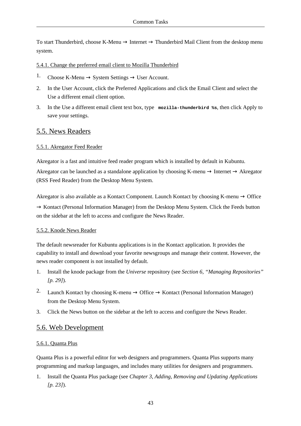To start Thunderbird, choose K-Menu  $\rightarrow$  Internet  $\rightarrow$  Thunderbird Mail Client from the desktop menu system.

#### 5.4.1. Change the preferred email client to Mozilla Thunderbird

- 1. Choose K-Menu  $\rightarrow$  System Settings  $\rightarrow$  User Account.
- 2. In the User Account, click the Preferred Applications and click the Email Client and select the Use a different email client option.
- 3. In the Use a different email client text box, type **mozilla-thunderbird %s**, then click Apply to save your settings.

#### 5.5. News Readers

#### 5.5.1. Akregator Feed Reader

Akregator is a fast and intuitive feed reader program which is installed by default in Kubuntu.

Akregator can be launched as a standalone application by choosing K-menu  $\rightarrow$  Internet  $\rightarrow$  Akregator (RSS Feed Reader) from the Desktop Menu System.

Akregator is also available as a Kontact Component. Launch Kontact by choosing K-menu  $\rightarrow$  Office

→ Kontact (Personal Information Manager) from the Desktop Menu System. Click the Feeds button on the sidebar at the left to access and configure the News Reader.

#### 5.5.2. Knode News Reader

The default newsreader for Kubuntu applications is in the Kontact application. It provides the capability to install and download your favorite newsgroups and manage their content. However, the news reader component is not installed by default.

- 1. Install the knode package from the *Universe* repository (see *[Section 6, "Managing Repositories"](#page-28-0) [\[p. 29\]](#page-28-0)*).
- 2. Launch Kontact by choosing K-menu  $\rightarrow$  Office  $\rightarrow$  Kontact (Personal Information Manager) from the Desktop Menu System.
- 3. Click the News button on the sidebar at the left to access and configure the News Reader.

#### 5.6. Web Development

#### 5.6.1. Quanta Plus

Quanta Plus is a powerful editor for web designers and programmers. Quanta Plus supports many programming and markup languages, and includes many utilities for designers and programmers.

1. Install the Quanta Plus package (see *[Chapter 3, Adding, Removing and Updating Applications](#page-22-0) [\[p. 23\]](#page-22-0)*).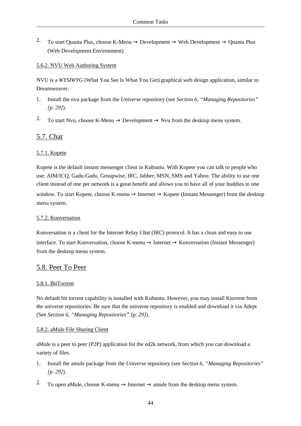2. To start Quanta Plus, choose K-Menu  $\rightarrow$  Development  $\rightarrow$  Web Development  $\rightarrow$  Quanta Plus (Web Development Environment)

#### 5.6.2. NVU Web Authoring System

NVU is a *WYSIWYG* (What You See Is What You Get) graphical web design application, similar to Dreamweaver.

- 1. Install the nvu package from the *Universe* repository (see *[Section 6, "Managing Repositories"](#page-28-0) [\[p. 29\]](#page-28-0)*).
- 2. To start Nvu, choose K-Menu  $\rightarrow$  Development  $\rightarrow$  Nvu from the desktop menu system.

## 5.7. Chat

#### 5.7.1. Kopete

Kopete is the default instant messenger client in Kubuntu. With Kopete you can talk to people who use: AIM/ICQ, Gadu-Gadu, Groupwise, IRC, Jabber, MSN, SMS and Yahoo. The ability to use one client instead of one per network is a great benefit and allows you to have all of your buddies in one window. To start Kopete, choose K-menu  $\rightarrow$  Internet  $\rightarrow$  Kopete (Instant Messenger) from the desktop menu system.

#### 5.7.2. Konversation

Konversation is a client for the Internet Relay Chat (IRC) protocol. It has a clean and easy to use interface. To start Konversation, choose K-menu  $\rightarrow$  Internet  $\rightarrow$  Konversation (Instant Messenger) from the desktop menu system.

#### 5.8. Peer To Peer

#### 5.8.1. BitTorrent

No default bit torrent capability is installed with Kubuntu. However, you may install Ktorrent from the universe repositories. Be sure that the universe repository is enabled and download it via Adept (See *[Section 6, "Managing Repositories" \[p. 29\]](#page-28-0)*).

#### 5.8.2. aMule File Sharing Client

aMule is a peer to peer (P2P) application for the ed2k network, from which you can download a variety of files.

- 1. Install the amule package from the *Universe* repository (see *[Section 6, "Managing Repositories"](#page-28-0) [\[p. 29\]](#page-28-0)*).
- 2. To open aMule, choose K-menu  $\rightarrow$  Internet  $\rightarrow$  amule from the desktop menu system.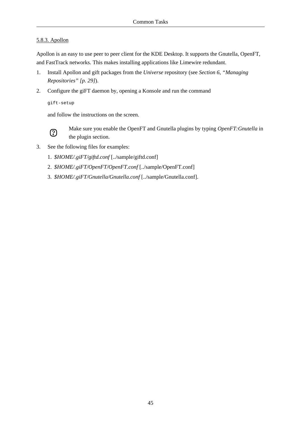#### 5.8.3. Apollon

Apollon is an easy to use peer to peer client for the KDE Desktop. It supports the Gnutella, OpenFT, and FastTrack networks. This makes installing applications like Limewire redundant.

- 1. Install Apollon and gift packages from the *Universe* repository (see *[Section 6, "Managing](#page-28-0) [Repositories" \[p. 29\]](#page-28-0)*).
- 2. Configure the giFT daemon by, opening a Konsole and run the command

```
gift-setup
```
and follow the instructions on the screen.



Make sure you enable the OpenFT and Gnutella plugins by typing *OpenFT:Gnutella* in the plugin section.

- 3. See the following files for examples:
	- 1. *[\\$HOME/.giFT/giftd.conf](../sample/giftd.conf)* [\[../sample/giftd.conf\]](../sample/giftd.conf)
	- 2. *[\\$HOME/.giFT/OpenFT/OpenFT.conf](../sample/OpenFT.conf)* [\[../sample/OpenFT.conf\]](../sample/OpenFT.conf)
	- 3. *[\\$HOME/.giFT/Gnutella/Gnutella.conf](../sample/Gnutella.conf)* [[../sample/Gnutella.conf\]](../sample/Gnutella.conf).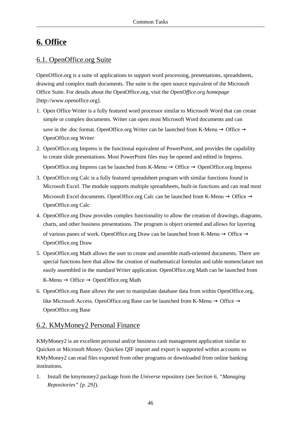# **6. Office**

## 6.1. OpenOffice.org Suite

OpenOffice.org is a suite of applications to support word processing, presentations, spreadsheets, drawing and complex math documents. The suite is the open source equivalent of the Microsoft Office Suite. For details about the OpenOffice.org, visit the *[OpenOffice.org homepage](http://www.openoffice.org)* [[http://www.openoffice.org\]](http://www.openoffice.org).

- 1. Open Office Writer is a fully featured word processor similar to Microsoft Word that can create simple or complex documents. Writer can open most Microsoft Word documents and can save in the .doc format. OpenOffice.org Writer can be launched from K-Menu  $\rightarrow$  Office  $\rightarrow$ OpenOffice.org Writer
- 2. OpenOffice.org Impress is the functional equivalent of PowerPoint, and provides the capability to create slide presentations. Most PowerPoint files may be opened and edited in Impress. OpenOffice.org Impress can be launched from K-Menu  $\rightarrow$  Office  $\rightarrow$  OpenOffice.org Impress
- 3. OpenOffice.org Calc is a fully featured spreadsheet program with similar functions found in Microsoft Excel. The module supports multiple spreadsheets, built-in functions and can read most Microsoft Excel documents. OpenOffice.org Calc can be launched from K-Menu  $\rightarrow$  Office  $\rightarrow$ OpenOffice.org Calc
- 4. OpenOffice.org Draw provides complex functionality to allow the creation of drawings, diagrams, charts, and other business presentations. The program is object oriented and allows for layering of various panes of work. OpenOffice.org Draw can be launched from K-Menu  $\rightarrow$  Office  $\rightarrow$ OpenOffice.org Draw
- 5. OpenOffice.org Math allows the user to create and assemble math-oriented documents. There are special functions here that allow the creation of mathematical formulas and table nomenclature not easily assembled in the standard Writer application. OpenOffice.org Math can be launched from  $K-Menu \rightarrow Office \rightarrow OpenOffice.org Math$
- 6. OpenOffice.org Base allows the user to manipulate database data from within OpenOffice.org, like Microsoft Access. OpenOffice.org Base can be launched from K-Menu  $\rightarrow$  Office  $\rightarrow$ OpenOffice.org Base

# 6.2. KMyMoney2 Personal Finance

KMyMoney2 is an excellent personal and/or business cash management application similar to Quicken or Microsoft Money. Quicken QIF import and export is supported within accounts so KMyMoney2 can read files exported from other programs or downloaded from online banking institutions.

1. Install the kmymoney2 package from the *Universe* repository (see *[Section 6, "Managing](#page-28-0) [Repositories" \[p. 29\]](#page-28-0)*).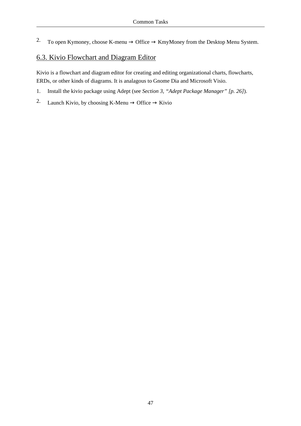2. To open Kymoney, choose K-menu  $\rightarrow$  Office  $\rightarrow$  KmyMoney from the Desktop Menu System.

## 6.3. Kivio Flowchart and Diagram Editor

Kivio is a flowchart and diagram editor for creating and editing organizational charts, flowcharts, ERDs, or other kinds of diagrams. It is analagous to Gnome Dia and Microsoft Visio.

- 1. Install the kivio package using Adept (see *[Section 3, "Adept Package Manager" \[p. 26\]](#page-25-0)*).
- 2. Launch Kivio, by choosing K-Menu  $\rightarrow$  Office  $\rightarrow$  Kivio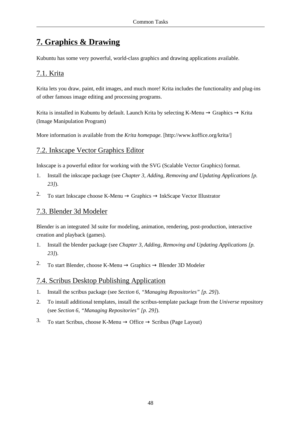# **7. Graphics & Drawing**

Kubuntu has some very powerful, world-class graphics and drawing applications available.

# 7.1. Krita

Krita lets you draw, paint, edit images, and much more! Krita includes the functionality and plug-ins of other famous image editing and processing programs.

Krita is installed in Kubuntu by default. Launch Krita by selecting K-Menu  $\rightarrow$  Graphics  $\rightarrow$  Krita (Image Manipulation Program)

More information is available from the *[Krita homepage.](http://www.koffice.org/krita/)* [\[http://www.koffice.org/krita/](http://www.koffice.org/krita/)]

## 7.2. Inkscape Vector Graphics Editor

Inkscape is a powerful editor for working with the SVG (Scalable Vector Graphics) format.

- 1. Install the inkscape package (see *[Chapter 3, Adding, Removing and Updating Applications \[p.](#page-22-0) [23\]](#page-22-0)*).
- 2. To start Inkscape choose K-Menu  $\rightarrow$  Graphics  $\rightarrow$  InkScape Vector Illustrator

# 7.3. Blender 3d Modeler

Blender is an integrated 3d suite for modeling, animation, rendering, post-production, interactive creation and playback (games).

- 1. Install the blender package (see *[Chapter 3, Adding, Removing and Updating Applications \[p.](#page-22-0) [23\]](#page-22-0)*).
- 2. To start Blender, choose K-Menu  $\rightarrow$  Graphics  $\rightarrow$  Blender 3D Modeler

# 7.4. Scribus Desktop Publishing Application

- 1. Install the scribus package (see *[Section 6, "Managing Repositories" \[p. 29\]](#page-28-0)*).
- 2. To install additional templates, install the scribus-template package from the *Universe* repository (see *[Section 6, "Managing Repositories" \[p. 29\]](#page-28-0)*).
- 3. To start Scribus, choose K-Menu  $\rightarrow$  Office  $\rightarrow$  Scribus (Page Layout)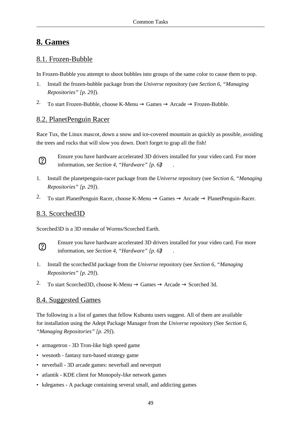# **8. Games**

# 8.1. Frozen-Bubble

In Frozen-Bubble you attempt to shoot bubbles into groups of the same color to cause them to pop.

- 1. Install the frozen-bubble package from the *Universe* repository (see *[Section 6, "Managing](#page-28-0) [Repositories" \[p. 29\]](#page-28-0)*).
- 2. To start Frozen-Bubble, choose K-Menu  $\rightarrow$  Games  $\rightarrow$  Arcade  $\rightarrow$  Frozen-Bubble.

# 8.2. PlanetPenguin Racer

Race Tux, the Linux mascot, down a snow and ice-covered mountain as quickly as possible, avoiding the trees and rocks that will slow you down. Don't forget to grap all the fish!



Ensure you have hardware accelerated 3D drivers installed for your video card. For more information, see *[Section 4, "Hardware" \[p. 63\]](#page-62-0)* .

- 1. Install the planetpenguin-racer package from the *Universe* repository (see *[Section 6, "Managing](#page-28-0) [Repositories" \[p. 29\]](#page-28-0)*).
- 2. To start PlanetPenguin Racer, choose K-Menu  $\rightarrow$  Games  $\rightarrow$  Arcade  $\rightarrow$  PlanetPenguin-Racer.

# 8.3. Scorched3D

Scorched3D is a 3D remake of Worms/Scorched Earth.



Ensure you have hardware accelerated 3D drivers installed for your video card. For more information, see *[Section 4, "Hardware" \[p. 63\]](#page-62-0)* .

- 1. Install the scorched3d package from the *Universe* repository (see *[Section 6, "Managing](#page-28-0) [Repositories" \[p. 29\]](#page-28-0)*).
- 2. To start Scorched3D, choose K-Menu  $\rightarrow$  Games  $\rightarrow$  Arcade  $\rightarrow$  Scorched 3d.

# 8.4. Suggested Games

The following is a list of games that fellow Kubuntu users suggest. All of them are available for installation using the Adept Package Manager from the *Universe* repository (See *[Section 6,](#page-28-0) ["Managing Repositories" \[p. 29\]](#page-28-0)*).

- armagetron 3D Tron-like high speed game
- wesnoth fantasy turn-based strategy game
- neverball 3D arcade games: neverball and neverputt
- atlantik KDE client for Monopoly-like network games
- kdegames A package containing several small, and addicting games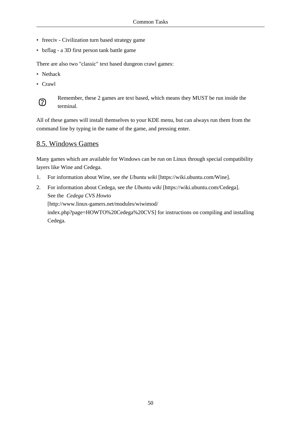- freeciv Civilization turn based strategy game
- bzflag a 3D first person tank battle game

There are also two "classic" text based dungeon crawl games:

- Nethack
- Crawl



Remember, these 2 games are text based, which means they MUST be run inside the terminal.

All of these games will install themselves to your KDE menu, but can always run them from the command line by typing in the name of the game, and pressing enter.

#### 8.5. Windows Games

Many games which are available for Windows can be run on Linux through special compatibility layers like Wine and Cedega.

- 1. For information about Wine, see *[the Ubuntu wiki](https://wiki.ubuntu.com/Wine)* [[https://wiki.ubuntu.com/Wine\]](https://wiki.ubuntu.com/Wine).
- 2. For information about Cedega, see *[the Ubuntu wiki](https://wiki.ubuntu.com/Cedega)* [<https://wiki.ubuntu.com/Cedega>]. See the *[Cedega CVS Howto](http://www.linux-gamers.net/modules/wiwimod/index.php?page=HOWTO%20Cedega%20CVS)* [[http://www.linux-gamers.net/modules/wiwimod/](http://www.linux-gamers.net/modules/wiwimod/index.php?page=HOWTO%20Cedega%20CVS) [index.php?page=HOWTO%20Cedega%20CVS](http://www.linux-gamers.net/modules/wiwimod/index.php?page=HOWTO%20Cedega%20CVS)] for instructions on compiling and installing Cedega.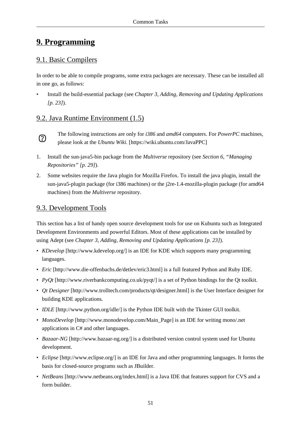# **9. Programming**

# 9.1. Basic Compilers

In order to be able to compile programs, some extra packages are necessary. These can be installed all in one go, as follows:

• Install the build-essential package (see *[Chapter 3, Adding, Removing and Updating Applications](#page-22-0) [\[p. 23\]](#page-22-0)*).

# 9.2. Java Runtime Environment (1.5)

- The following instructions are only for *i386* and *amd64* computers. For *PowerPC* machines,  $\odot$ please look at the *[Ubuntu Wiki.](https://wiki.ubuntu.com/JavaPPC)* [[https://wiki.ubuntu.com/JavaPPC\]](https://wiki.ubuntu.com/JavaPPC)
- 1. Install the sun-java5-bin package from the *Multiverse* repository (see *[Section 6, "Managing](#page-28-0) [Repositories" \[p. 29\]](#page-28-0)*).
- 2. Some websites require the Java plugin for Mozilla Firefox. To install the java plugin, install the sun-java5-plugin package (for i386 machines) or the j2re-1.4-mozilla-plugin package (for amd64 machines) from the *Multiverse* repository.

# 9.3. Development Tools

This section has a list of handy open source development tools for use on Kubuntu such as Integrated Development Environments and powerful Editors. Most of these applications can be installed by using Adept (see *[Chapter 3, Adding, Removing and Updating Applications \[p. 23\]](#page-22-0)*).

- *[KDevelop](http://www.kdevelop.org/)* [\[http://www.kdevelop.org/](http://www.kdevelop.org/)] is an IDE for KDE which supports many programming languages.
- *[Eric](http://www.die-offenbachs.de/detlev/eric3.html)* [\[http://www.die-offenbachs.de/detlev/eric3.html\]](http://www.die-offenbachs.de/detlev/eric3.html) is a full featured Python and Ruby IDE.
- *[PyQt](http://www.riverbankcomputing.co.uk/pyqt/)* [\[http://www.riverbankcomputing.co.uk/pyqt/\]](http://www.riverbankcomputing.co.uk/pyqt/) is a set of Python bindings for the Qt toolkit.
- *[Qt Designer](http://www.trolltech.com/products/qt/designer.html)* [\[http://www.trolltech.com/products/qt/designer.html\]](http://www.trolltech.com/products/qt/designer.html) is the User Interface designer for building KDE applications.
- *[IDLE](http://www.python.org/idle/)* [<http://www.python.org/idle/>] is the Python IDE built with the Tkinter GUI toolkit.
- *[MonoDevelop](http://www.monodevelop.com/Main_Page)* [[http://www.monodevelop.com/Main\\_Page](http://www.monodevelop.com/Main_Page)] is an IDE for writing mono/.net applications in C# and other languages.
- *[Bazaar-NG](http://www.bazaar-ng.org/)* [\[http://www.bazaar-ng.org/\]](http://www.bazaar-ng.org/) is a distributed version control system used for Ubuntu development.
- *[Eclipse](http://www.eclipse.org/)* [[http://www.eclipse.org/\]](http://www.eclipse.org/) is an IDE for Java and other programming languages. It forms the basis for closed-source programs such as JBuilder.
- *[NetBeans](http://www.netbeans.org/index.html)* [[http://www.netbeans.org/index.html\]](http://www.netbeans.org/index.html) is a Java IDE that features support for CVS and a form builder.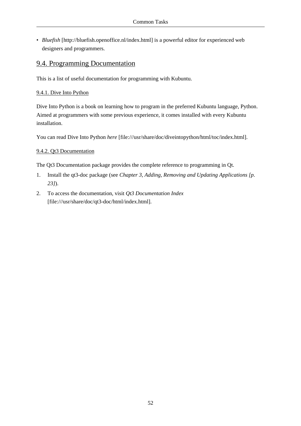• *[Bluefish](http://bluefish.openoffice.nl/index.html)* [\[http://bluefish.openoffice.nl/index.html\]](http://bluefish.openoffice.nl/index.html) is a powerful editor for experienced web designers and programmers.

# 9.4. Programming Documentation

This is a list of useful documentation for programming with Kubuntu.

#### 9.4.1. Dive Into Python

Dive Into Python is a book on learning how to program in the preferred Kubuntu language, Python. Aimed at programmers with some previous experience, it comes installed with every Kubuntu installation.

You can read Dive Into Python *[here](file:///usr/share/doc/diveintopython/html/toc/index.html)* [<file:///usr/share/doc/diveintopython/html/toc/index.html>].

#### 9.4.2. Qt3 Documentation

The Qt3 Documentation package provides the complete reference to programming in Qt.

- 1. Install the qt3-doc package (see *[Chapter 3, Adding, Removing and Updating Applications \[p.](#page-22-0) [23\]](#page-22-0)*).
- 2. To access the documentation, visit *[Qt3 Documentation Index](file:///usr/share/doc/qt3-doc/html/index.html)* [[file:///usr/share/doc/qt3-doc/html/index.html\]](file:///usr/share/doc/qt3-doc/html/index.html).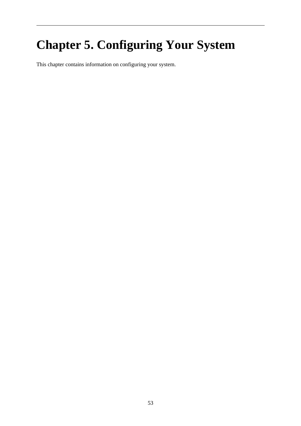# **Chapter 5. Configuring Your System**

This chapter contains information on configuring your system.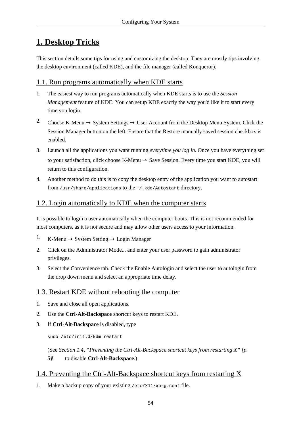# <span id="page-53-0"></span>**1. Desktop Tricks**

This section details some tips for using and customizing the desktop. They are mostly tips involving the desktop environment (called KDE), and the file manager (called Konqueror).

# 1.1. Run programs automatically when KDE starts

- 1. The easiest way to run programs automatically when KDE starts is to use the *Session Management* feature of KDE. You can setup KDE exactly the way you'd like it to start every time you login.
- 2. Choose K-Menu  $\rightarrow$  System Settings  $\rightarrow$  User Account from the Desktop Menu System. Click the Session Manager button on the left. Ensure that the Restore manually saved session checkbox is enabled.
- 3. Launch all the applications you want running *everytime you log in*. Once you have everything set to your satisfaction, click choose K-Menu  $\rightarrow$  Save Session. Every time you start KDE, you will return to this configuration.
- 4. Another method to do this is to copy the desktop entry of the application you want to autostart from /usr/share/applications to the ~/.kde/Autostart directory.

# 1.2. Login automatically to KDE when the computer starts

It is possible to login a user automatically when the computer boots. This is not recommended for most computers, as it is not secure and may allow other users access to your information.

- 1. K-Menu  $\rightarrow$  System Setting  $\rightarrow$  Login Manager
- 2. Click on the Administrator Mode... and enter your user password to gain administrator privileges.
- 3. Select the Convenience tab. Check the Enable Autologin and select the user to autologin from the drop down menu and select an appropriate time delay.

# 1.3. Restart KDE without rebooting the computer

- 1. Save and close all open applications.
- 2. Use the **Ctrl**-**Alt**-**Backspace** shortcut keys to restart KDE.
- 3. If **Ctrl**-**Alt**-**Backspace** is disabled, type

sudo /etc/init.d/kdm restart

(See *[Section 1.4, "Preventing the Ctrl-Alt-Backspace shortcut keys from restarting X" \[p.](#page-53-0) [54\]](#page-53-0)* to disable **Ctrl**-**Alt**-**Backspace**.)

# 1.4. Preventing the Ctrl-Alt-Backspace shortcut keys from restarting X

1. Make a backup copy of your existing /etc/X11/xorg.conf file.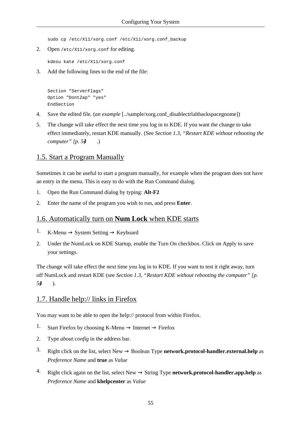sudo cp /etc/X11/xorg.conf /etc/X11/xorg.conf\_backup

<span id="page-54-0"></span>2. Open /etc/X11/xorg.conf for editing.

kdesu kate /etc/X11/xorg.conf

3. Add the following lines to the end of the file:

```
Section "ServerFlags"
Option "DontZap" "yes"
EndSection
```
- 4. Save the edited file. (*[an example](../sample/xorg.conf_disablectrlaltbackspacegnome)* [[../sample/xorg.conf\\_disablectrlaltbackspacegnome](../sample/xorg.conf_disablectrlaltbackspacegnome)])
- 5. The change will take effect the next time you log in to KDE. If you want the change to take effect immediately, restart KDE manually. (See *[Section 1.3, "Restart KDE without rebooting the](#page-53-0) [computer" \[p. 54\]](#page-53-0)* .)

## 1.5. Start a Program Manually

Sometimes it can be useful to start a program manually, for example when the program does not have an entry in the menu. This is easy to do with the Run Command dialog.

- 1. Open the Run Command dialog by typing: **Alt**-**F2**
- 2. Enter the name of the program you wish to run, and press **Enter**.

#### 1.6. Automatically turn on **Num Lock** when KDE starts

- 1. K-Menu  $\rightarrow$  System Setting  $\rightarrow$  Keyboard
- 2. Under the NumLock on KDE Startup, enable the Turn On checkbox. Click on Apply to save your settings.

The change will take effect the next time you log in to KDE. If you want to test it right away, turn off NumLock and restart KDE (see *[Section 1.3, "Restart KDE without rebooting the computer" \[p.](#page-53-0) [54\]](#page-53-0)* ).

#### 1.7. Handle help:// links in Firefox

You may want to be able to open the help:// protocol from within Firefox.

- 1. Start Firefox by choosing K-Menu  $\rightarrow$  Internet  $\rightarrow$  Firefox
- 2. Type *about:config* in the address bar.
- 3. Right click on the list, select New  $\rightarrow$  Boolean Type **network.protocol-handler.external.help** as *Preference Name* and **true** as *Value*
- 4. Right click again on the list, select New  $\rightarrow$  String Type **network.protocol-handler.app.help** as *Preference Name* and **khelpcenter** as *Value*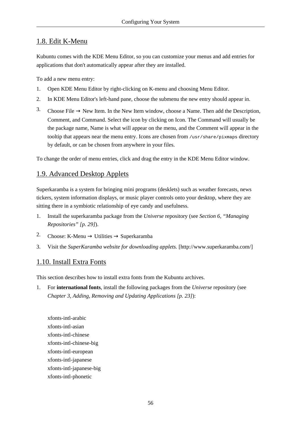# <span id="page-55-0"></span>1.8. Edit K-Menu

Kubuntu comes with the KDE Menu Editor, so you can customize your menus and add entries for applications that don't automatically appear after they are installed.

To add a new menu entry:

- 1. Open KDE Menu Editor by right-clicking on K-menu and choosing Menu Editor.
- 2. In KDE Menu Editor's left-hand pane, choose the submenu the new entry should appear in.
- 3. Choose File  $\rightarrow$  New Item. In the New Item window, choose a Name. Then add the Description, Comment, and Command. Select the icon by clicking on Icon. The Command will usually be the package name, Name is what will appear on the menu, and the Comment will appear in the tooltip that appears near the menu entry. Icons are chosen from /usr/share/pixmaps directory by default, or can be chosen from anywhere in your files.

To change the order of menu entries, click and drag the entry in the KDE Menu Editor window.

## 1.9. Advanced Desktop Applets

Superkaramba is a system for bringing mini programs (desklets) such as weather forecasts, news tickers, system information displays, or music player controls onto your desktop, where they are sitting there in a symbiotic relationship of eye candy and usefulness.

- 1. Install the superkaramba package from the *Universe* repository (see *[Section 6, "Managing](#page-28-0) [Repositories" \[p. 29\]](#page-28-0)*).
- 2. Choose: K-Menu  $\rightarrow$  Utilities  $\rightarrow$  Superkaramba
- 3. Visit the *[SuperKaramba website for downloading applets.](http://www.superkaramba.com/)* [<http://www.superkaramba.com/>]

#### 1.10. Install Extra Fonts

This section describes how to install extra fonts from the Kubuntu archives.

1. For **international fonts**, install the following packages from the *Universe* repository (see *[Chapter 3, Adding, Removing and Updating Applications \[p. 23\]](#page-22-0)*):

xfonts-intl-arabic xfonts-intl-asian xfonts-intl-chinese xfonts-intl-chinese-big xfonts-intl-european xfonts-intl-japanese xfonts-intl-japanese-big xfonts-intl-phonetic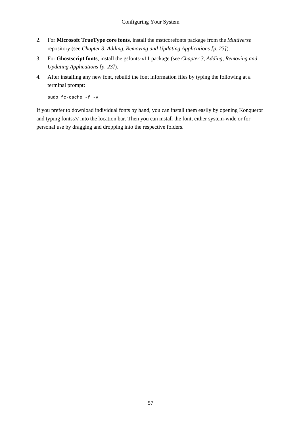- 2. For **Microsoft TrueType core fonts**, install the msttcorefonts package from the *Multiverse* repository (see *[Chapter 3, Adding, Removing and Updating Applications \[p. 23\]](#page-22-0)*).
- 3. For **Ghostscript fonts**, install the gsfonts-x11 package (see *[Chapter 3, Adding, Removing and](#page-22-0) [Updating Applications \[p. 23\]](#page-22-0)*).
- 4. After installing any new font, rebuild the font information files by typing the following at a terminal prompt:

```
sudo fc-cache -f -v
```
If you prefer to download individual fonts by hand, you can install them easily by opening Konqueror and typing fonts:/// into the location bar. Then you can install the font, either system-wide or for personal use by dragging and dropping into the respective folders.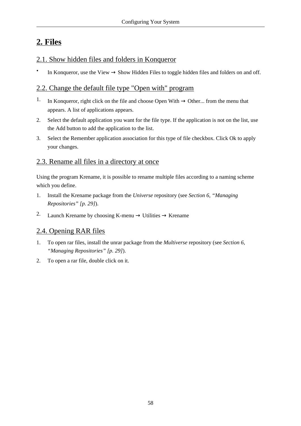# **2. Files**

# 2.1. Show hidden files and folders in Konqueror

• In Konqueror, use the View  $\rightarrow$  Show Hidden Files to toggle hidden files and folders on and off.

# 2.2. Change the default file type "Open with" program

- 1. In Konqueror, right click on the file and choose Open With  $\rightarrow$  Other... from the menu that appears. A list of applications appears.
- 2. Select the default application you want for the file type. If the application is not on the list, use the Add button to add the application to the list.
- 3. Select the Remember application association for this type of file checkbox. Click Ok to apply your changes.

# 2.3. Rename all files in a directory at once

Using the program Krename, it is possible to rename multiple files according to a naming scheme which you define.

- 1. Install the Krename package from the *Universe* repository (see *[Section 6, "Managing](#page-28-0) [Repositories" \[p. 29\]](#page-28-0)*).
- 2. Launch Krename by choosing K-menu  $\rightarrow$  Utilities  $\rightarrow$  Krename

# 2.4. Opening RAR files

- 1. To open rar files, install the unrar package from the *Multiverse* repository (see *[Section 6,](#page-28-0) ["Managing Repositories" \[p. 29\]](#page-28-0)*).
- 2. To open a rar file, double click on it.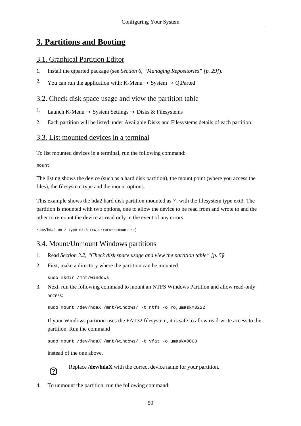# <span id="page-58-0"></span>**3. Partitions and Booting**

# 3.1. Graphical Partition Editor

- 1. Install the qtparted package (see *[Section 6, "Managing Repositories" \[p. 29\]](#page-28-0)*).
- 2. You can run the application with: K-Menu  $\rightarrow$  System  $\rightarrow$  QtParted

#### 3.2. Check disk space usage and view the partition table

- 1. Launch K-Menu  $\rightarrow$  System Settings  $\rightarrow$  Disks & Filesystems
- 2. Each partition will be listed under Available Disks and Filesystems details of each partition.

#### 3.3. List mounted devices in a terminal

To list mounted devices in a terminal, run the following command:

mount

The listing shows the device (such as a hard disk partition), the mount point (where you access the files), the filesystem type and the mount options.

This example shows the hda2 hard disk partition mounted as '/', with the filesystem type ext3. The partition is mounted with two options, one to allow the device to be read from and wrote to and the other to remount the device as read only in the event of any errors.

/dev/hda2 on / type ext3 (rw,errors=remount-ro)

# 3.4. Mount/Unmount Windows partitions

- 1. Read *[Section 3.2, "Check disk space usage and view the partition table" \[p. 59\]](#page-58-0)*
- 2. First, make a directory where the partition can be mounted:

sudo mkdir /mnt/windows

3. Next, run the following command to mount an NTFS Windows Partition and allow read-only access:

sudo mount /dev/hdaX /mnt/windows/ -t ntfs -o ro,umask=0222

If your Windows partition uses the FAT32 filesystem, it is safe to allow read-write access to the partition. Run the command

sudo mount /dev/hdaX /mnt/windows/ -t vfat -o umask=0000

instead of the one above.



Replace **/dev/hdaX** with the correct device name for your partition.

4. To unmount the partition, run the following command: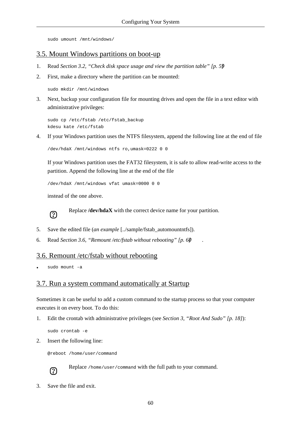<span id="page-59-0"></span>sudo umount /mnt/windows/

#### 3.5. Mount Windows partitions on boot-up

- 1. Read *[Section 3.2, "Check disk space usage and view the partition table" \[p. 59\]](#page-58-0)*
- 2. First, make a directory where the partition can be mounted:

sudo mkdir /mnt/windows

3. Next, backup your configuration file for mounting drives and open the file in a text editor with administrative privileges:

sudo cp /etc/fstab /etc/fstab\_backup kdesu kate /etc/fstab

4. If your Windows partition uses the NTFS filesystem, append the following line at the end of file

/dev/hdaX /mnt/windows ntfs ro,umask=0222 0 0

If your Windows partition uses the FAT32 filesystem, it is safe to allow read-write access to the partition. Append the following line at the end of the file

/dev/hdaX /mnt/windows vfat umask=0000 0 0

instead of the one above.



Replace **/dev/hdaX** with the correct device name for your partition.

- 5. Save the edited file (*[an example](../sample/fstab_automountntfs)* [[../sample/fstab\\_automountntfs](../sample/fstab_automountntfs)]).
- 6. Read *[Section 3.6, "Remount /etc/fstab without rebooting" \[p. 60\]](#page-59-0)* .

#### 3.6. Remount /etc/fstab without rebooting

sudo mount -a

#### 3.7. Run a system command automatically at Startup

Sometimes it can be useful to add a custom command to the startup process so that your computer executes it on every boot. To do this:

1. Edit the crontab with administrative privileges (see *[Section 3, "Root And Sudo" \[p. 18\]](#page-17-0)*):

sudo crontab -e

2. Insert the following line:

@reboot /home/user/command



Replace /home/user/command with the full path to your command.

3. Save the file and exit.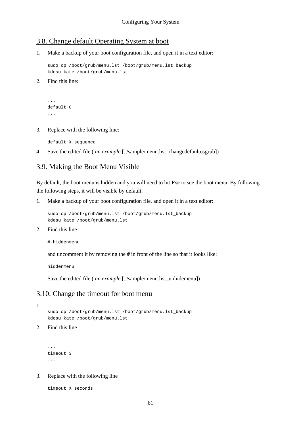#### 3.8. Change default Operating System at boot

1. Make a backup of your boot configuration file, and open it in a text editor:

sudo cp /boot/grub/menu.lst /boot/grub/menu.lst\_backup kdesu kate /boot/grub/menu.lst

2. Find this line:

```
...
default 0
...
```
3. Replace with the following line:

```
default X_sequence
```
4. Save the edited file ( *[an example](../sample/menu.list_changedefaultosgrub)* [[../sample/menu.list\\_changedefaultosgrub](../sample/menu.list_changedefaultosgrub)])

#### 3.9. Making the Boot Menu Visible

By default, the boot menu is hidden and you will need to hit **Esc** to see the boot menu. By following the following steps, it will be visible by default.

1. Make a backup of your boot configuration file, and open it in a text editor:

sudo cp /boot/grub/menu.lst /boot/grub/menu.lst\_backup kdesu kate /boot/grub/menu.lst

2. Find this line

```
# hiddenmenu
```
and uncomment it by removing the *#* in front of the line so that it looks like:

hiddenmenu

Save the edited file ( *[an example](../sample/menu.list_unhidemenu)* [[../sample/menu.list\\_unhidemenu\]](../sample/menu.list_unhidemenu))

#### 3.10. Change the timeout for boot menu

```
1.
```
sudo cp /boot/grub/menu.lst /boot/grub/menu.lst\_backup kdesu kate /boot/grub/menu.lst

2. Find this line

```
...
timeout 3
...
```
3. Replace with the following line

```
timeout X_seconds
```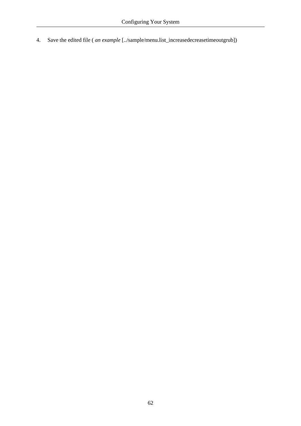4. Save the edited file ( *[an example](../sample/menu.list_increasedecreasetimeoutgrub)* [[../sample/menu.list\\_increasedecreasetimeoutgrub](../sample/menu.list_increasedecreasetimeoutgrub)])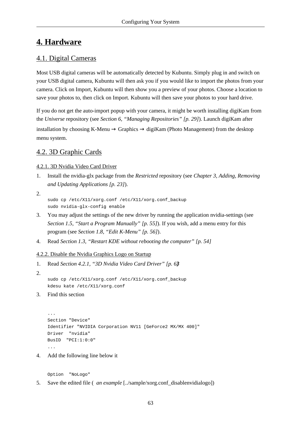# <span id="page-62-0"></span>**4. Hardware**

# 4.1. Digital Cameras

Most USB digital cameras will be automatically detected by Kubuntu. Simply plug in and switch on your USB digital camera, Kubuntu will then ask you if you would like to import the photos from your camera. Click on Import, Kubuntu will then show you a preview of your photos. Choose a location to save your photos to, then click on Import. Kubuntu will then save your photos to your hard drive.

If you do not get the auto-import popup with your camera, it might be worth installing digiKam from the *Universe* repository (see *[Section 6, "Managing Repositories" \[p. 29\]](#page-28-0)*). Launch digiKam after installation by choosing K-Menu  $\rightarrow$  Graphics  $\rightarrow$  digiKam (Photo Management) from the desktop menu system.

# 4.2. 3D Graphic Cards

#### 4.2.1. 3D Nvidia Video Card Driver

- 1. Install the nvidia-glx package from the *Restricted* repository (see *[Chapter 3, Adding, Removing](#page-22-0) [and Updating Applications \[p. 23\]](#page-22-0)*).
- 2.

sudo cp /etc/X11/xorg.conf /etc/X11/xorg.conf\_backup sudo nvidia-glx-config enable

- 3. You may adjust the settings of the new driver by running the application nvidia-settings (see *[Section 1.5, "Start a Program Manually" \[p. 55\]](#page-54-0)*). If you wish, add a menu entry for this program (see *[Section 1.8, "Edit K-Menu" \[p. 56\]](#page-55-0)*).
- 4. Read *[Section 1.3, "Restart KDE without rebooting the computer" \[p. 54\]](#page-53-0)*

#### 4.2.2. Disable the Nvidia Graphics Logo on Startup

1. Read *[Section 4.2.1, "3D Nvidia Video Card Driver" \[p. 63\]](#page-62-0)*

2.

sudo cp /etc/X11/xorg.conf /etc/X11/xorg.conf\_backup kdesu kate /etc/X11/xorg.conf

3. Find this section

```
...
Section "Device"
Identifier "NVIDIA Corporation NV11 [GeForce2 MX/MX 400]"
Driver "nvidia"
BusID "PCI:1:0:0"
...
```
4. Add the following line below it

Option "NoLogo"

5. Save the edited file ( *[an example](../sample/xorg.conf_disablenvidialogo)* [\[../sample/xorg.conf\\_disablenvidialogo](../sample/xorg.conf_disablenvidialogo)])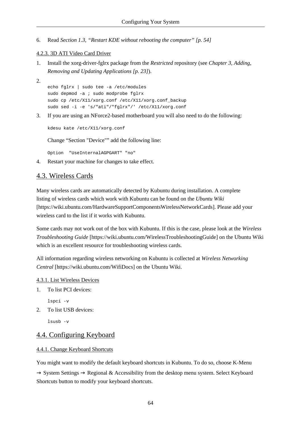6. Read *[Section 1.3, "Restart KDE without rebooting the computer" \[p. 54\]](#page-53-0)*

#### 4.2.3. 3D ATI Video Card Driver

1. Install the xorg-driver-fglrx package from the *Restricted* repository (see *[Chapter 3, Adding,](#page-22-0) [Removing and Updating Applications \[p. 23\]](#page-22-0)*).

```
2.
    echo fglrx | sudo tee -a /etc/modules
    sudo depmod -a ; sudo modprobe fglrx
    sudo cp /etc/X11/xorg.conf /etc/X11/xorg.conf_backup 
    sudo sed -i -e 's/"ati"/"fglrx"/' /etc/X11/xorg.conf
```
3. If you are using an NForce2-based motherboard you will also need to do the following:

kdesu kate /etc/X11/xorg.conf

Change "Section "Device"" add the following line:

Option "UseInternalAGPGART" "no"

4. Restart your machine for changes to take effect.

#### 4.3. Wireless Cards

Many wireless cards are automatically detected by Kubuntu during installation. A complete listing of wireless cards which work with Kubuntu can be found on the *[Ubuntu Wiki](https://wiki.ubuntu.com/HardwareSupportComponentsWirelessNetworkCards)* [<https://wiki.ubuntu.com/HardwareSupportComponentsWirelessNetworkCards>]. Please add your wireless card to the list if it works with Kubuntu.

Some cards may not work out of the box with Kubuntu. If this is the case, please look at the *[Wireless](https://wiki.ubuntu.com/WirelessTroubleshootingGuide) [Troubleshooting Guide](https://wiki.ubuntu.com/WirelessTroubleshootingGuide)* [<https://wiki.ubuntu.com/WirelessTroubleshootingGuide>] on the Ubuntu Wiki which is an excellent resource for troubleshooting wireless cards.

All information regarding wireless networking on Kubuntu is collected at *[Wireless Networking](https://wiki.ubuntu.com/WifiDocs) [Central](https://wiki.ubuntu.com/WifiDocs)* [\[https://wiki.ubuntu.com/WifiDocs\]](https://wiki.ubuntu.com/WifiDocs) on the Ubuntu Wiki.

#### 4.3.1. List Wireless Devices

1. To list PCI devices:

lspci -v

2. To list USB devices:

lsusb -v

#### 4.4. Configuring Keyboard

#### 4.4.1. Change Keyboard Shortcuts

You might want to modify the default keyboard shortcuts in Kubuntu. To do so, choose K-Menu  $\rightarrow$  System Settings  $\rightarrow$  Regional & Accessibility from the desktop menu system. Select Keyboard Shortcuts button to modify your keyboard shortcuts.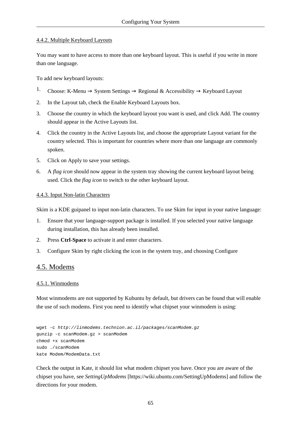#### <span id="page-64-0"></span>4.4.2. Multiple Keyboard Layouts

You may want to have access to more than one keyboard layout. This is useful if you write in more than one language.

To add new keyboard layouts:

- 1. Choose: K-Menu  $\rightarrow$  System Settings  $\rightarrow$  Regional & Accessibility  $\rightarrow$  Keyboard Layout
- 2. In the Layout tab, check the Enable Keyboard Layouts box.
- 3. Choose the country in which the keyboard layout you want is used, and click Add. The country should appear in the Active Layouts list.
- 4. Click the country in the Active Layouts list, and choose the appropriate Layout variant for the country selected. This is important for countries where more than one language are commonly spoken.
- 5. Click on Apply to save your settings.
- 6. A *flag icon* should now appear in the system tray showing the current keyboard layout being used. Click the *flag icon* to switch to the other keyboard layout.

#### 4.4.3. Input Non-latin Characters

Skim is a KDE guipanel to input non-latin characters. To use Skim for input in your native language:

- 1. Ensure that your language-support package is installed. If you selected your native language during installation, this has already been installed.
- 2. Press **Ctrl**-**Space** to activate it and enter characters.
- 3. Configure Skim by right clicking the icon in the system tray, and choosing Configure

#### 4.5. Modems

#### 4.5.1. Winmodems

Most winmodems are not supported by Kubuntu by default, but drivers can be found that will enable the use of such modems. First you need to identify what chipset your winmodem is using:

```
wget -c http://linmodems.technion.ac.il/packages/scanModem.gz
gunzip -c scanModem.gz > scanModem 
chmod +x scanModem
sudo ./scanModem 
kate Modem/ModemData.txt
```
Check the output in Kate, it should list what modem chipset you have. Once you are aware of the chipset you have, see *[SettingUpModems](https://wiki.ubuntu.com/SettingUpModems)* [<https://wiki.ubuntu.com/SettingUpModems>] and follow the directions for your modem.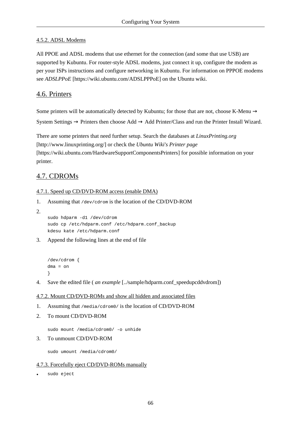#### 4.5.2. ADSL Modems

All PPOE and ADSL modems that use ethernet for the connection (and some that use USB) are supported by Kubuntu. For router-style ADSL modems, just connect it up, configure the modem as per your ISPs instructions and configure networking in Kubuntu. For information on PPPOE modems see *[ADSLPPoE](https://wiki.ubuntu.com/ADSLPPPoE)* [\[https://wiki.ubuntu.com/ADSLPPPoE\]](https://wiki.ubuntu.com/ADSLPPPoE) on the Ubuntu wiki.

#### 4.6. Printers

Some printers will be automatically detected by Kubuntu; for those that are not, choose K-Menu  $\rightarrow$ 

System Settings  $\rightarrow$  Printers then choose Add  $\rightarrow$  Add Printer/Class and run the Printer Install Wizard.

There are some printers that need further setup. Search the databases at *[LinuxPrinting.org](http://www.linuxprinting.org/)* [<http://www.linuxprinting.org/>] or check the *[Ubuntu Wiki's Printer page](https://wiki.ubuntu.com/HardwareSupportComponentsPrinters)* [[https://wiki.ubuntu.com/HardwareSupportComponentsPrinters\]](https://wiki.ubuntu.com/HardwareSupportComponentsPrinters) for possible information on your printer.

# 4.7. CDROMs

#### 4.7.1. Speed up CD/DVD-ROM access (enable DMA)

- 1. Assuming that /dev/cdrom is the location of the CD/DVD-ROM
- 2.

```
sudo hdparm -d1 /dev/cdrom 
sudo cp /etc/hdparm.conf /etc/hdparm.conf_backup 
kdesu kate /etc/hdparm.conf
```
3. Append the following lines at the end of file

```
/dev/cdrom {
dma = on
}
```
4. Save the edited file ( *[an example](../sample/hdparm.conf_speedupcddvdrom)* [[../sample/hdparm.conf\\_speedupcddvdrom](../sample/hdparm.conf_speedupcddvdrom)])

#### 4.7.2. Mount CD/DVD-ROMs and show all hidden and associated files

- 1. Assuming that /media/cdrom0/ is the location of CD/DVD-ROM
- 2. To mount CD/DVD-ROM

sudo mount /media/cdrom0/ -o unhide

3. To unmount CD/DVD-ROM

sudo umount /media/cdrom0/

#### 4.7.3. Forcefully eject CD/DVD-ROMs manually

sudo eject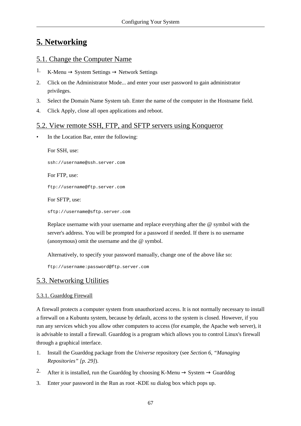# **5. Networking**

## 5.1. Change the Computer Name

- 1. K-Menu  $\rightarrow$  System Settings  $\rightarrow$  Network Settings
- 2. Click on the Administrator Mode... and enter your user password to gain administrator privileges.
- 3. Select the Domain Name System tab. Enter the name of the computer in the Hostname field.
- 4. Click Apply, close all open applications and reboot.

#### 5.2. View remote SSH, FTP, and SFTP servers using Konqueror

• In the Location Bar, enter the following:

For SSH, use:

ssh://username@ssh.server.com

For FTP, use:

ftp://username@ftp.server.com

For SFTP, use:

sftp://username@sftp.server.com

Replace username with your username and replace everything after the @ symbol with the server's address. You will be prompted for a password if needed. If there is no username (anonymous) omit the username and the @ symbol.

Alternatively, to specify your password manually, change one of the above like so:

ftp://username:password@ftp.server.com

# 5.3. Networking Utilities

#### 5.3.1. Guarddog Firewall

A firewall protects a computer system from unauthorized access. It is not normally necessary to install a firewall on a Kubuntu system, because by default, access to the system is closed. However, if you run any services which you allow other computers to access (for example, the Apache web server), it is advisable to install a firewall. Guarddog is a program which allows you to control Linux's firewall through a graphical interface.

- 1. Install the Guarddog package from the *Universe* repository (see *[Section 6, "Managing](#page-28-0) [Repositories" \[p. 29\]](#page-28-0)*).
- 2. After it is installed, run the Guarddog by choosing K-Menu  $\rightarrow$  System  $\rightarrow$  Guarddog
- 3. Enter *your* password in the Run as root -KDE su dialog box which pops up.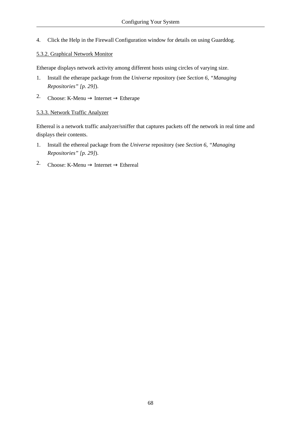4. Click the Help in the Firewall Configuration window for details on using Guarddog.

#### 5.3.2. Graphical Network Monitor

Etherape displays network activity among different hosts using circles of varying size.

- 1. Install the etherape package from the *Universe* repository (see *[Section 6, "Managing](#page-28-0) [Repositories" \[p. 29\]](#page-28-0)*).
- 2. Choose: K-Menu  $\rightarrow$  Internet  $\rightarrow$  Etherape

#### 5.3.3. Network Traffic Analyzer

Ethereal is a network traffic analyzer/sniffer that captures packets off the network in real time and displays their contents.

- 1. Install the ethereal package from the *Universe* repository (see *[Section 6, "Managing](#page-28-0) [Repositories" \[p. 29\]](#page-28-0)*).
- 2. Choose: K-Menu  $\rightarrow$  Internet  $\rightarrow$  Ethereal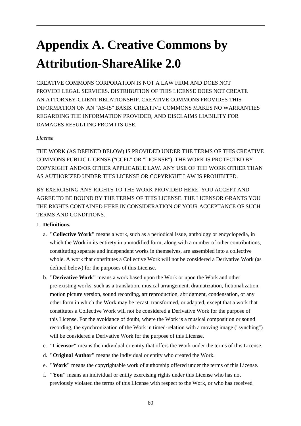# **Appendix A. Creative Commons by Attribution-ShareAlike 2.0**

CREATIVE COMMONS CORPORATION IS NOT A LAW FIRM AND DOES NOT PROVIDE LEGAL SERVICES. DISTRIBUTION OF THIS LICENSE DOES NOT CREATE AN ATTORNEY-CLIENT RELATIONSHIP. CREATIVE COMMONS PROVIDES THIS INFORMATION ON AN "AS-IS" BASIS. CREATIVE COMMONS MAKES NO WARRANTIES REGARDING THE INFORMATION PROVIDED, AND DISCLAIMS LIABILITY FOR DAMAGES RESULTING FROM ITS USE.

#### *License*

THE WORK (AS DEFINED BELOW) IS PROVIDED UNDER THE TERMS OF THIS CREATIVE COMMONS PUBLIC LICENSE ("CCPL" OR "LICENSE"). THE WORK IS PROTECTED BY COPYRIGHT AND/OR OTHER APPLICABLE LAW. ANY USE OF THE WORK OTHER THAN AS AUTHORIZED UNDER THIS LICENSE OR COPYRIGHT LAW IS PROHIBITED.

BY EXERCISING ANY RIGHTS TO THE WORK PROVIDED HERE, YOU ACCEPT AND AGREE TO BE BOUND BY THE TERMS OF THIS LICENSE. THE LICENSOR GRANTS YOU THE RIGHTS CONTAINED HERE IN CONSIDERATION OF YOUR ACCEPTANCE OF SUCH TERMS AND CONDITIONS.

#### 1. **Definitions.**

- a. **"Collective Work"** means a work, such as a periodical issue, anthology or encyclopedia, in which the Work in its entirety in unmodified form, along with a number of other contributions, constituting separate and independent works in themselves, are assembled into a collective whole. A work that constitutes a Collective Work will not be considered a Derivative Work (as defined below) for the purposes of this License.
- b. **"Derivative Work"** means a work based upon the Work or upon the Work and other pre-existing works, such as a translation, musical arrangement, dramatization, fictionalization, motion picture version, sound recording, art reproduction, abridgment, condensation, or any other form in which the Work may be recast, transformed, or adapted, except that a work that constitutes a Collective Work will not be considered a Derivative Work for the purpose of this License. For the avoidance of doubt, where the Work is a musical composition or sound recording, the synchronization of the Work in timed-relation with a moving image ("synching") will be considered a Derivative Work for the purpose of this License.
- c. **"Licensor"** means the individual or entity that offers the Work under the terms of this License.
- d. **"Original Author"** means the individual or entity who created the Work.
- e. **"Work"** means the copyrightable work of authorship offered under the terms of this License.
- f. **"You"** means an individual or entity exercising rights under this License who has not previously violated the terms of this License with respect to the Work, or who has received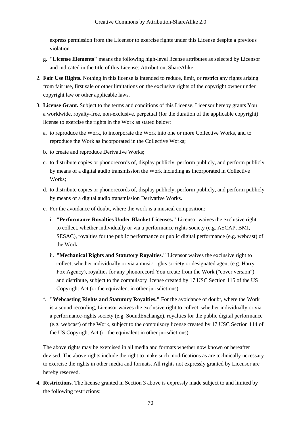express permission from the Licensor to exercise rights under this License despite a previous violation.

- g. **"License Elements"** means the following high-level license attributes as selected by Licensor and indicated in the title of this License: Attribution, ShareAlike.
- 2. **Fair Use Rights.** Nothing in this license is intended to reduce, limit, or restrict any rights arising from fair use, first sale or other limitations on the exclusive rights of the copyright owner under copyright law or other applicable laws.
- 3. **License Grant.** Subject to the terms and conditions of this License, Licensor hereby grants You a worldwide, royalty-free, non-exclusive, perpetual (for the duration of the applicable copyright) license to exercise the rights in the Work as stated below:
	- a. to reproduce the Work, to incorporate the Work into one or more Collective Works, and to reproduce the Work as incorporated in the Collective Works;
	- b. to create and reproduce Derivative Works;
	- c. to distribute copies or phonorecords of, display publicly, perform publicly, and perform publicly by means of a digital audio transmission the Work including as incorporated in Collective Works;
	- d. to distribute copies or phonorecords of, display publicly, perform publicly, and perform publicly by means of a digital audio transmission Derivative Works.
	- e. For the avoidance of doubt, where the work is a musical composition:
		- i. **"Performance Royalties Under Blanket Licenses."** Licensor waives the exclusive right to collect, whether individually or via a performance rights society (e.g. ASCAP, BMI, SESAC), royalties for the public performance or public digital performance (e.g. webcast) of the Work.
		- ii. **"Mechanical Rights and Statutory Royalties."** Licensor waives the exclusive right to collect, whether individually or via a music rights society or designated agent (e.g. Harry Fox Agency), royalties for any phonorecord You create from the Work ("cover version") and distribute, subject to the compulsory license created by 17 USC Section 115 of the US Copyright Act (or the equivalent in other jurisdictions).
	- f. **"Webcasting Rights and Statutory Royalties."** For the avoidance of doubt, where the Work is a sound recording, Licensor waives the exclusive right to collect, whether individually or via a performance-rights society (e.g. SoundExchange), royalties for the public digital performance (e.g. webcast) of the Work, subject to the compulsory license created by 17 USC Section 114 of the US Copyright Act (or the equivalent in other jurisdictions).

The above rights may be exercised in all media and formats whether now known or hereafter devised. The above rights include the right to make such modifications as are technically necessary to exercise the rights in other media and formats. All rights not expressly granted by Licensor are hereby reserved.

4. **Restrictions.** The license granted in Section 3 above is expressly made subject to and limited by the following restrictions: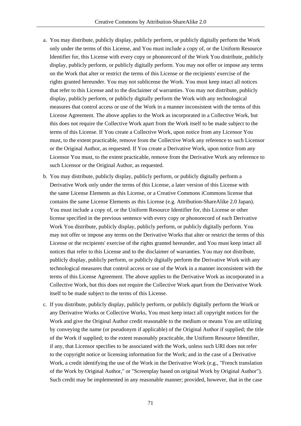- a. You may distribute, publicly display, publicly perform, or publicly digitally perform the Work only under the terms of this License, and You must include a copy of, or the Uniform Resource Identifier for, this License with every copy or phonorecord of the Work You distribute, publicly display, publicly perform, or publicly digitally perform. You may not offer or impose any terms on the Work that alter or restrict the terms of this License or the recipients' exercise of the rights granted hereunder. You may not sublicense the Work. You must keep intact all notices that refer to this License and to the disclaimer of warranties. You may not distribute, publicly display, publicly perform, or publicly digitally perform the Work with any technological measures that control access or use of the Work in a manner inconsistent with the terms of this License Agreement. The above applies to the Work as incorporated in a Collective Work, but this does not require the Collective Work apart from the Work itself to be made subject to the terms of this License. If You create a Collective Work, upon notice from any Licensor You must, to the extent practicable, remove from the Collective Work any reference to such Licensor or the Original Author, as requested. If You create a Derivative Work, upon notice from any Licensor You must, to the extent practicable, remove from the Derivative Work any reference to such Licensor or the Original Author, as requested.
- b. You may distribute, publicly display, publicly perform, or publicly digitally perform a Derivative Work only under the terms of this License, a later version of this License with the same License Elements as this License, or a Creative Commons iCommons license that contains the same License Elements as this License (e.g. Attribution-ShareAlike 2.0 Japan). You must include a copy of, or the Uniform Resource Identifier for, this License or other license specified in the previous sentence with every copy or phonorecord of each Derivative Work You distribute, publicly display, publicly perform, or publicly digitally perform. You may not offer or impose any terms on the Derivative Works that alter or restrict the terms of this License or the recipients' exercise of the rights granted hereunder, and You must keep intact all notices that refer to this License and to the disclaimer of warranties. You may not distribute, publicly display, publicly perform, or publicly digitally perform the Derivative Work with any technological measures that control access or use of the Work in a manner inconsistent with the terms of this License Agreement. The above applies to the Derivative Work as incorporated in a Collective Work, but this does not require the Collective Work apart from the Derivative Work itself to be made subject to the terms of this License.
- c. If you distribute, publicly display, publicly perform, or publicly digitally perform the Work or any Derivative Works or Collective Works, You must keep intact all copyright notices for the Work and give the Original Author credit reasonable to the medium or means You are utilizing by conveying the name (or pseudonym if applicable) of the Original Author if supplied; the title of the Work if supplied; to the extent reasonably practicable, the Uniform Resource Identifier, if any, that Licensor specifies to be associated with the Work, unless such URI does not refer to the copyright notice or licensing information for the Work; and in the case of a Derivative Work, a credit identifying the use of the Work in the Derivative Work (e.g., "French translation of the Work by Original Author," or "Screenplay based on original Work by Original Author"). Such credit may be implemented in any reasonable manner; provided, however, that in the case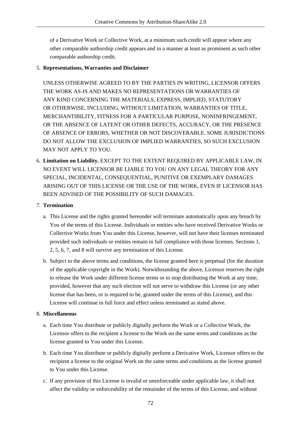of a Derivative Work or Collective Work, at a minimum such credit will appear where any other comparable authorship credit appears and in a manner at least as prominent as such other comparable authorship credit.

#### 5. **Representations, Warranties and Disclaimer**

UNLESS OTHERWISE AGREED TO BY THE PARTIES IN WRITING, LICENSOR OFFERS THE WORK AS-IS AND MAKES NO REPRESENTATIONS OR WARRANTIES OF ANY KIND CONCERNING THE MATERIALS, EXPRESS, IMPLIED, STATUTORY OR OTHERWISE, INCLUDING, WITHOUT LIMITATION, WARRANTIES OF TITLE, MERCHANTIBILITY, FITNESS FOR A PARTICULAR PURPOSE, NONINFRINGEMENT, OR THE ABSENCE OF LATENT OR OTHER DEFECTS, ACCURACY, OR THE PRESENCE OF ABSENCE OF ERRORS, WHETHER OR NOT DISCOVERABLE. SOME JURISDICTIONS DO NOT ALLOW THE EXCLUSION OF IMPLIED WARRANTIES, SO SUCH EXCLUSION MAY NOT APPLY TO YOU.

6. **Limitation on Liability.** EXCEPT TO THE EXTENT REQUIRED BY APPLICABLE LAW, IN NO EVENT WILL LICENSOR BE LIABLE TO YOU ON ANY LEGAL THEORY FOR ANY SPECIAL, INCIDENTAL, CONSEQUENTIAL, PUNITIVE OR EXEMPLARY DAMAGES ARISING OUT OF THIS LICENSE OR THE USE OF THE WORK, EVEN IF LICENSOR HAS BEEN ADVISED OF THE POSSIBILITY OF SUCH DAMAGES.

#### 7. **Termination**

- a. This License and the rights granted hereunder will terminate automatically upon any breach by You of the terms of this License. Individuals or entities who have received Derivative Works or Collective Works from You under this License, however, will not have their licenses terminated provided such individuals or entities remain in full compliance with those licenses. Sections 1, 2, 5, 6, 7, and 8 will survive any termination of this License.
- b. Subject to the above terms and conditions, the license granted here is perpetual (for the duration of the applicable copyright in the Work). Notwithstanding the above, Licensor reserves the right to release the Work under different license terms or to stop distributing the Work at any time; provided, however that any such election will not serve to withdraw this License (or any other license that has been, or is required to be, granted under the terms of this License), and this License will continue in full force and effect unless terminated as stated above.

#### 8. **Miscellaneous**

- a. Each time You distribute or publicly digitally perform the Work or a Collective Work, the Licensor offers to the recipient a license to the Work on the same terms and conditions as the license granted to You under this License.
- b. Each time You distribute or publicly digitally perform a Derivative Work, Licensor offers to the recipient a license to the original Work on the same terms and conditions as the license granted to You under this License.
- c. If any provision of this License is invalid or unenforceable under applicable law, it shall not affect the validity or enforceability of the remainder of the terms of this License, and without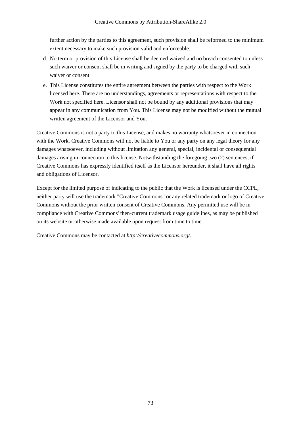further action by the parties to this agreement, such provision shall be reformed to the minimum extent necessary to make such provision valid and enforceable.

- d. No term or provision of this License shall be deemed waived and no breach consented to unless such waiver or consent shall be in writing and signed by the party to be charged with such waiver or consent.
- e. This License constitutes the entire agreement between the parties with respect to the Work licensed here. There are no understandings, agreements or representations with respect to the Work not specified here. Licensor shall not be bound by any additional provisions that may appear in any communication from You. This License may not be modified without the mutual written agreement of the Licensor and You.

Creative Commons is not a party to this License, and makes no warranty whatsoever in connection with the Work. Creative Commons will not be liable to You or any party on any legal theory for any damages whatsoever, including without limitation any general, special, incidental or consequential damages arising in connection to this license. Notwithstanding the foregoing two (2) sentences, if Creative Commons has expressly identified itself as the Licensor hereunder, it shall have all rights and obligations of Licensor.

Except for the limited purpose of indicating to the public that the Work is licensed under the CCPL, neither party will use the trademark "Creative Commons" or any related trademark or logo of Creative Commons without the prior written consent of Creative Commons. Any permitted use will be in compliance with Creative Commons' then-current trademark usage guidelines, as may be published on its website or otherwise made available upon request from time to time.

Creative Commons may be contacted at *<http://creativecommons.org/>*.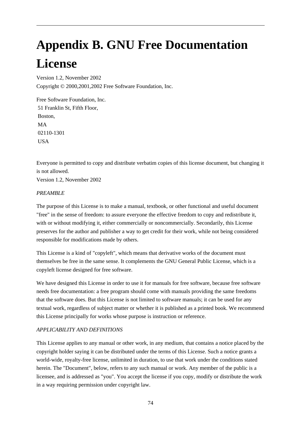# **Appendix B. GNU Free Documentation License**

Version 1.2, November 2002 Copyright © 2000,2001,2002 Free Software Foundation, Inc.

Free Software Foundation, Inc. 51 Franklin St, Fifth Floor, Boston, MA 02110-1301 **IISA** 

Everyone is permitted to copy and distribute verbatim copies of this license document, but changing it is not allowed.

Version 1.2, November 2002

## *PREAMBLE*

The purpose of this License is to make a manual, textbook, or other functional and useful document "free" in the sense of freedom: to assure everyone the effective freedom to copy and redistribute it, with or without modifying it, either commercially or noncommercially. Secondarily, this License preserves for the author and publisher a way to get credit for their work, while not being considered responsible for modifications made by others.

This License is a kind of "copyleft", which means that derivative works of the document must themselves be free in the same sense. It complements the GNU General Public License, which is a copyleft license designed for free software.

We have designed this License in order to use it for manuals for free software, because free software needs free documentation: a free program should come with manuals providing the same freedoms that the software does. But this License is not limited to software manuals; it can be used for any textual work, regardless of subject matter or whether it is published as a printed book. We recommend this License principally for works whose purpose is instruction or reference.

## *APPLICABILITY AND DEFINITIONS*

This License applies to any manual or other work, in any medium, that contains a notice placed by the copyright holder saying it can be distributed under the terms of this License. Such a notice grants a world-wide, royalty-free license, unlimited in duration, to use that work under the conditions stated herein. The "Document", below, refers to any such manual or work. Any member of the public is a licensee, and is addressed as "you". You accept the license if you copy, modify or distribute the work in a way requiring permission under copyright law.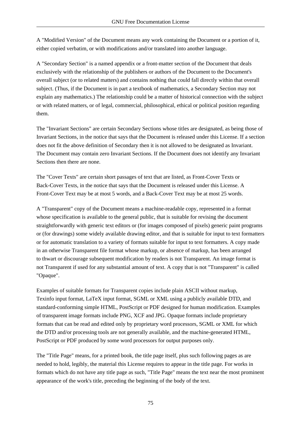A "Modified Version" of the Document means any work containing the Document or a portion of it, either copied verbatim, or with modifications and/or translated into another language.

A "Secondary Section" is a named appendix or a front-matter section of the Document that deals exclusively with the relationship of the publishers or authors of the Document to the Document's overall subject (or to related matters) and contains nothing that could fall directly within that overall subject. (Thus, if the Document is in part a textbook of mathematics, a Secondary Section may not explain any mathematics.) The relationship could be a matter of historical connection with the subject or with related matters, or of legal, commercial, philosophical, ethical or political position regarding them.

The "Invariant Sections" are certain Secondary Sections whose titles are designated, as being those of Invariant Sections, in the notice that says that the Document is released under this License. If a section does not fit the above definition of Secondary then it is not allowed to be designated as Invariant. The Document may contain zero Invariant Sections. If the Document does not identify any Invariant Sections then there are none.

The "Cover Texts" are certain short passages of text that are listed, as Front-Cover Texts or Back-Cover Texts, in the notice that says that the Document is released under this License. A Front-Cover Text may be at most 5 words, and a Back-Cover Text may be at most 25 words.

A "Transparent" copy of the Document means a machine-readable copy, represented in a format whose specification is available to the general public, that is suitable for revising the document straightforwardly with generic text editors or (for images composed of pixels) generic paint programs or (for drawings) some widely available drawing editor, and that is suitable for input to text formatters or for automatic translation to a variety of formats suitable for input to text formatters. A copy made in an otherwise Transparent file format whose markup, or absence of markup, has been arranged to thwart or discourage subsequent modification by readers is not Transparent. An image format is not Transparent if used for any substantial amount of text. A copy that is not "Transparent" is called "Opaque".

Examples of suitable formats for Transparent copies include plain ASCII without markup, Texinfo input format, LaTeX input format, SGML or XML using a publicly available DTD, and standard-conforming simple HTML, PostScript or PDF designed for human modification. Examples of transparent image formats include PNG, XCF and JPG. Opaque formats include proprietary formats that can be read and edited only by proprietary word processors, SGML or XML for which the DTD and/or processing tools are not generally available, and the machine-generated HTML, PostScript or PDF produced by some word processors for output purposes only.

The "Title Page" means, for a printed book, the title page itself, plus such following pages as are needed to hold, legibly, the material this License requires to appear in the title page. For works in formats which do not have any title page as such, "Title Page" means the text near the most prominent appearance of the work's title, preceding the beginning of the body of the text.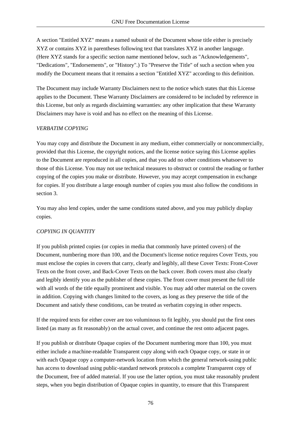A section "Entitled XYZ" means a named subunit of the Document whose title either is precisely XYZ or contains XYZ in parentheses following text that translates XYZ in another language. (Here XYZ stands for a specific section name mentioned below, such as "Acknowledgements", "Dedications", "Endorsements", or "History".) To "Preserve the Title" of such a section when you modify the Document means that it remains a section "Entitled XYZ" according to this definition.

The Document may include Warranty Disclaimers next to the notice which states that this License applies to the Document. These Warranty Disclaimers are considered to be included by reference in this License, but only as regards disclaiming warranties: any other implication that these Warranty Disclaimers may have is void and has no effect on the meaning of this License.

#### *VERBATIM COPYING*

You may copy and distribute the Document in any medium, either commercially or noncommercially, provided that this License, the copyright notices, and the license notice saying this License applies to the Document are reproduced in all copies, and that you add no other conditions whatsoever to those of this License. You may not use technical measures to obstruct or control the reading or further copying of the copies you make or distribute. However, you may accept compensation in exchange for copies. If you distribute a large enough number of copies you must also follow the conditions in section 3.

You may also lend copies, under the same conditions stated above, and you may publicly display copies.

#### *COPYING IN QUANTITY*

If you publish printed copies (or copies in media that commonly have printed covers) of the Document, numbering more than 100, and the Document's license notice requires Cover Texts, you must enclose the copies in covers that carry, clearly and legibly, all these Cover Texts: Front-Cover Texts on the front cover, and Back-Cover Texts on the back cover. Both covers must also clearly and legibly identify you as the publisher of these copies. The front cover must present the full title with all words of the title equally prominent and visible. You may add other material on the covers in addition. Copying with changes limited to the covers, as long as they preserve the title of the Document and satisfy these conditions, can be treated as verbatim copying in other respects.

If the required texts for either cover are too voluminous to fit legibly, you should put the first ones listed (as many as fit reasonably) on the actual cover, and continue the rest onto adjacent pages.

If you publish or distribute Opaque copies of the Document numbering more than 100, you must either include a machine-readable Transparent copy along with each Opaque copy, or state in or with each Opaque copy a computer-network location from which the general network-using public has access to download using public-standard network protocols a complete Transparent copy of the Document, free of added material. If you use the latter option, you must take reasonably prudent steps, when you begin distribution of Opaque copies in quantity, to ensure that this Transparent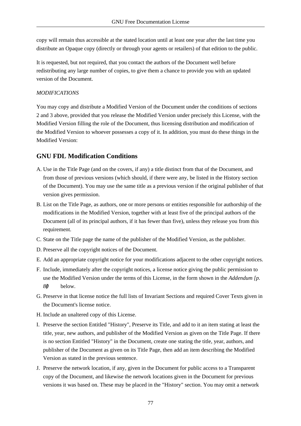<span id="page-76-0"></span>copy will remain thus accessible at the stated location until at least one year after the last time you distribute an Opaque copy (directly or through your agents or retailers) of that edition to the public.

It is requested, but not required, that you contact the authors of the Document well before redistributing any large number of copies, to give them a chance to provide you with an updated version of the Document.

#### *MODIFICATIONS*

You may copy and distribute a Modified Version of the Document under the conditions of sections 2 and 3 above, provided that you release the Modified Version under precisely this License, with the Modified Version filling the role of the Document, thus licensing distribution and modification of the Modified Version to whoever possesses a copy of it. In addition, you must do these things in the Modified Version:

## **GNU FDL Modification Conditions**

- A. Use in the Title Page (and on the covers, if any) a title distinct from that of the Document, and from those of previous versions (which should, if there were any, be listed in the History section of the Document). You may use the same title as a previous version if the original publisher of that version gives permission.
- B. List on the Title Page, as authors, one or more persons or entities responsible for authorship of the modifications in the Modified Version, together with at least five of the principal authors of the Document (all of its principal authors, if it has fewer than five), unless they release you from this requirement.
- C. State on the Title page the name of the publisher of the Modified Version, as the publisher.
- D. Preserve all the copyright notices of the Document.
- E. Add an appropriate copyright notice for your modifications adjacent to the other copyright notices.
- F. Include, immediately after the copyright notices, a license notice giving the public permission to use the Modified Version under the terms of this License, in the form shown in the *[Addendum \[p.](#page-79-0) [80\]](#page-79-0)* below.
- G. Preserve in that license notice the full lists of Invariant Sections and required Cover Texts given in the Document's license notice.
- H. Include an unaltered copy of this License.
- I. Preserve the section Entitled "History", Preserve its Title, and add to it an item stating at least the title, year, new authors, and publisher of the Modified Version as given on the Title Page. If there is no section Entitled "History" in the Document, create one stating the title, year, authors, and publisher of the Document as given on its Title Page, then add an item describing the Modified Version as stated in the previous sentence.
- J. Preserve the network location, if any, given in the Document for public access to a Transparent copy of the Document, and likewise the network locations given in the Document for previous versions it was based on. These may be placed in the "History" section. You may omit a network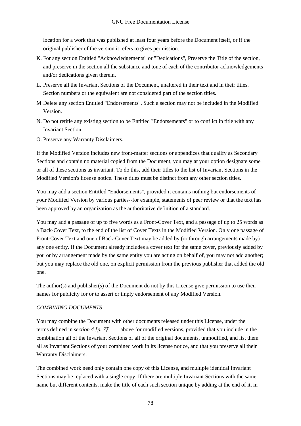location for a work that was published at least four years before the Document itself, or if the original publisher of the version it refers to gives permission.

- K. For any section Entitled "Acknowledgements" or "Dedications", Preserve the Title of the section, and preserve in the section all the substance and tone of each of the contributor acknowledgements and/or dedications given therein.
- L. Preserve all the Invariant Sections of the Document, unaltered in their text and in their titles. Section numbers or the equivalent are not considered part of the section titles.
- M.Delete any section Entitled "Endorsements". Such a section may not be included in the Modified Version.
- N. Do not retitle any existing section to be Entitled "Endorsements" or to conflict in title with any Invariant Section.
- O. Preserve any Warranty Disclaimers.

If the Modified Version includes new front-matter sections or appendices that qualify as Secondary Sections and contain no material copied from the Document, you may at your option designate some or all of these sections as invariant. To do this, add their titles to the list of Invariant Sections in the Modified Version's license notice. These titles must be distinct from any other section titles.

You may add a section Entitled "Endorsements", provided it contains nothing but endorsements of your Modified Version by various parties--for example, statements of peer review or that the text has been approved by an organization as the authoritative definition of a standard.

You may add a passage of up to five words as a Front-Cover Text, and a passage of up to 25 words as a Back-Cover Text, to the end of the list of Cover Texts in the Modified Version. Only one passage of Front-Cover Text and one of Back-Cover Text may be added by (or through arrangements made by) any one entity. If the Document already includes a cover text for the same cover, previously added by you or by arrangement made by the same entity you are acting on behalf of, you may not add another; but you may replace the old one, on explicit permission from the previous publisher that added the old one.

The author(s) and publisher(s) of the Document do not by this License give permission to use their names for publicity for or to assert or imply endorsement of any Modified Version.

## *COMBINING DOCUMENTS*

You may combine the Document with other documents released under this License, under the terms defined in *[section 4 \[p. 77\]](#page-76-0)* above for modified versions, provided that you include in the combination all of the Invariant Sections of all of the original documents, unmodified, and list them all as Invariant Sections of your combined work in its license notice, and that you preserve all their Warranty Disclaimers.

The combined work need only contain one copy of this License, and multiple identical Invariant Sections may be replaced with a single copy. If there are multiple Invariant Sections with the same name but different contents, make the title of each such section unique by adding at the end of it, in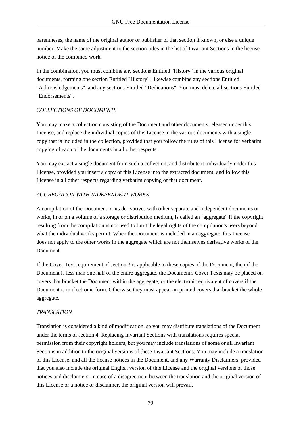parentheses, the name of the original author or publisher of that section if known, or else a unique number. Make the same adjustment to the section titles in the list of Invariant Sections in the license notice of the combined work.

In the combination, you must combine any sections Entitled "History" in the various original documents, forming one section Entitled "History"; likewise combine any sections Entitled "Acknowledgements", and any sections Entitled "Dedications". You must delete all sections Entitled "Endorsements".

#### *COLLECTIONS OF DOCUMENTS*

You may make a collection consisting of the Document and other documents released under this License, and replace the individual copies of this License in the various documents with a single copy that is included in the collection, provided that you follow the rules of this License for verbatim copying of each of the documents in all other respects.

You may extract a single document from such a collection, and distribute it individually under this License, provided you insert a copy of this License into the extracted document, and follow this License in all other respects regarding verbatim copying of that document.

#### *AGGREGATION WITH INDEPENDENT WORKS*

A compilation of the Document or its derivatives with other separate and independent documents or works, in or on a volume of a storage or distribution medium, is called an "aggregate" if the copyright resulting from the compilation is not used to limit the legal rights of the compilation's users beyond what the individual works permit. When the Document is included in an aggregate, this License does not apply to the other works in the aggregate which are not themselves derivative works of the **Document** 

If the Cover Text requirement of section 3 is applicable to these copies of the Document, then if the Document is less than one half of the entire aggregate, the Document's Cover Texts may be placed on covers that bracket the Document within the aggregate, or the electronic equivalent of covers if the Document is in electronic form. Otherwise they must appear on printed covers that bracket the whole aggregate.

#### *TRANSLATION*

Translation is considered a kind of modification, so you may distribute translations of the Document under the terms of section 4. Replacing Invariant Sections with translations requires special permission from their copyright holders, but you may include translations of some or all Invariant Sections in addition to the original versions of these Invariant Sections. You may include a translation of this License, and all the license notices in the Document, and any Warranty Disclaimers, provided that you also include the original English version of this License and the original versions of those notices and disclaimers. In case of a disagreement between the translation and the original version of this License or a notice or disclaimer, the original version will prevail.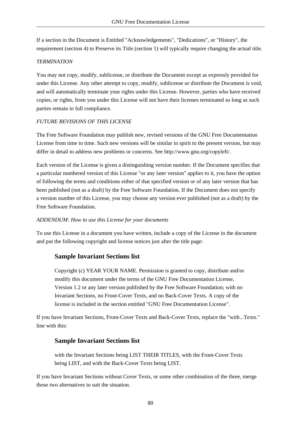<span id="page-79-0"></span>If a section in the Document is Entitled "Acknowledgements", "Dedications", or "History", the requirement (section 4) to Preserve its Title (section 1) will typically require changing the actual title.

## *TERMINATION*

You may not copy, modify, sublicense, or distribute the Document except as expressly provided for under this License. Any other attempt to copy, modify, sublicense or distribute the Document is void, and will automatically terminate your rights under this License. However, parties who have received copies, or rights, from you under this License will not have their licenses terminated so long as such parties remain in full compliance.

## *FUTURE REVISIONS OF THIS LICENSE*

The Free Software Foundation may publish new, revised versions of the GNU Free Documentation License from time to time. Such new versions will be similar in spirit to the present version, but may differ in detail to address new problems or concerns. See http://www.gnu.org/copyleft/.

Each version of the License is given a distinguishing version number. If the Document specifies that a particular numbered version of this License "or any later version" applies to it, you have the option of following the terms and conditions either of that specified version or of any later version that has been published (not as a draft) by the Free Software Foundation. If the Document does not specify a version number of this License, you may choose any version ever published (not as a draft) by the Free Software Foundation.

## *ADDENDUM: How to use this License for your documents*

To use this License in a document you have written, include a copy of the License in the document and put the following copyright and license notices just after the title page:

# **Sample Invariant Sections list**

Copyright (c) YEAR YOUR NAME. Permission is granted to copy, distribute and/or modify this document under the terms of the GNU Free Documentation License, Version 1.2 or any later version published by the Free Software Foundation; with no Invariant Sections, no Front-Cover Texts, and no Back-Cover Texts. A copy of the license is included in the section entitled "GNU Free Documentation License".

If you have Invariant Sections, Front-Cover Texts and Back-Cover Texts, replace the "with...Texts." line with this:

# **Sample Invariant Sections list**

with the Invariant Sections being LIST THEIR TITLES, with the Front-Cover Texts being LIST, and with the Back-Cover Texts being LIST.

If you have Invariant Sections without Cover Texts, or some other combination of the three, merge those two alternatives to suit the situation.